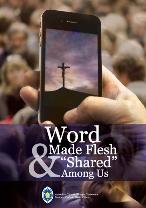# Word<br>Q<sup>Made Flesh</sup> Among Us



WORD MADE FLESH AND "SHARED" AMONG US

Australian Catholic Bilhops Conference<br>National Catholic Media Office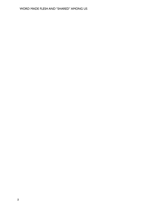#### WORD MADE FLESH AND "SHARED" AMONG US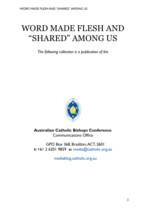### WORD MADE FLESH AND "SHARED" AMONG US

*The following collection is a publication of the* 



**Australian Catholic Bishops Conference** Communications Office

GPO Box 368, Braddon, ACT, 2601 **t:** +61 2 6201 9859 **e:** [media@catholic.org.au](mailto:media@catholic.org.au)

mediablog[.catholic.org.au](http://mediablog.catholic.org.au)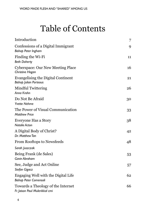# Table of Contents

| Introduction                                                         | 7  |
|----------------------------------------------------------------------|----|
| Confessions of a Digital Immigrant<br>Bishop Peter Ingham            | 9  |
| Finding the Wi-Fi<br><b>Beth Doherty</b>                             | 11 |
| <b>Cyberspace: Our New Meeting Place</b><br>Christine Hogan          | 16 |
| Evangelising the Digital Continent<br><b>Bishop Julian Porteous</b>  | 21 |
| Mindful Twittering<br>Anna Krohn                                     | 26 |
| Do Not Be Afraid<br><b>Yvette Nehme</b>                              | 30 |
| The Power of Visual Communication<br><b>Matthew Price</b>            | 33 |
| <b>Everyone Has a Story</b><br><b>Natalie Acton</b>                  | 38 |
| A Digital Body of Christ?<br>Dr. Matthew Tan                         | 42 |
| From Rooftops to Newsfeeds                                           | 48 |
| Sarah Juszczak                                                       |    |
| Being Frank (de Sales)<br>Gavin Abraham                              | 53 |
| See, Judge and Act Online<br>Stefan Gigacz                           | 57 |
| Engaging Well with the Digital Life<br><b>Bishop Peter Comensoli</b> | 62 |
| Towards a Theology of the Internet<br>Fr. Jaison Paul Mulerikkal cmi | 66 |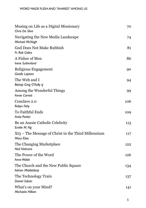| Musing on Life as a Digital Missionary<br>Chris Da Silva                 | 70  |
|--------------------------------------------------------------------------|-----|
| Navigating the New Media Landscape<br>Michael McVeigh                    | 74  |
| <b>God Does Not Make Rubbish</b><br>Fr. Rob Galea                        | 81  |
| A Fisher of Men<br>Irene Sutherland                                      | 86  |
| Religious Engagement<br>Giselle Lapitan                                  | 90  |
| The Web and I<br>Bishop Greg O'Kelly sj                                  | 94  |
| Among the Wonderful Things<br><b>Annie Carrett</b>                       | 99  |
| Conclave 2.0<br>Robyn Fahy                                               | 106 |
| <b>To Faithful Ends</b><br><b>Anita Parker</b>                           | 109 |
| Be an Aussie Catholic Celebrity<br>Emilie M. Ng                          | 113 |
| Xt3 – The Message of Christ in the Third Millennium<br><b>Mary Elias</b> | 117 |
| The Changing Marketplace<br>Neil Helmore                                 | 122 |
| The Power of the Word<br>Anne Walsh                                      | 126 |
| The Church and the New Public Square<br>Adrian Middeldorp                | 134 |
| The Technology Train<br>Daniel Saban                                     | 137 |
| What's on your Mind?<br>Michaela Hillam                                  | 141 |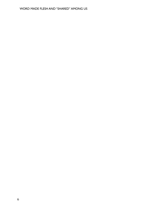#### WORD MADE FLESH AND "SHARED" AMONG US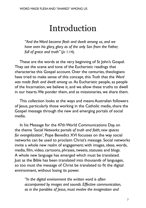### Introduction

<span id="page-6-0"></span>*"And the Word became flesh and dwelt among us, and we have seen his glory, glory as of the only Son from the Father, full of grace and truth"* (*Jn* 1:14)*.* 

These are the words at the very beginning of St John's Gospel. They set the scene and tone of the Eucharistic readings that characterise this Gospel account. Over the centuries, theologians have tried to make sense of this concept, this *Truth* that the *Word was made flesh and dwelt among us.* As Eucharistic people, as people of the Incarnation, we believe it, and we allow these truths to dwell in our hearts. We ponder them, and as missionaries, we share them.

This collection looks at the ways and means Australian followers of Jesus, particularly those working in the Catholic media, share the Gospel message through the new and emerging portals of social media.

In his Message for the 47th World Communications Day, on the theme *'Social Networks: portals of truth and faith; new spaces for evangelization',* Pope Benedict XVI focusses on the way social networks can be used to proclaim Christ's message. Social networks invite a whole new realm of engagement; with images, ideas, words, media, film, video, cartoons, phrases, tweets, statuses and blogs. A whole new language has emerged which must be translated. Just as the Bible has been translated into thousands of languages, so too must the message of Christ be translated to fit the digital environment, without losing its power.

*"In the digital environment the written word is often accompanied by images and sounds. Effective communication, as in the parables of Jesus, must involve the imagination and*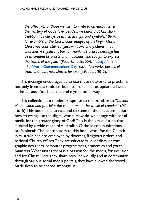*the affectivity of those we wish to invite to an encounter with the mystery of God's love. Besides, we know that Christian tradition has always been rich in signs and symbols: I think for example of the Cross, icons, images of the Virgin Mary, Christmas cribs, stained-glass windows and pictures in our churches. A significant part of mankind's artistic heritage has been created by artists and musicians who sought to express the truths of the faith"* (Pope Benedict XVI, [Message for the](http://www.vatican.va/holy_father/benedict_xvi/messages/communications/documents/hf_ben-xvi_mes_20130124_47th-world-communications-day_en.html)  [47th World Communications Day,](http://www.vatican.va/holy_father/benedict_xvi/messages/communications/documents/hf_ben-xvi_mes_20130124_47th-world-communications-day_en.html) *Social Networks: portals of truth and faith; new spaces for evangelization,* 2013).

This message encourages us to use these networks to proclaim, not only from the rooftops; but also from a status update, a Tweet, an Instagram, a YouTube clip, and myriad other ways.

This collection is a modern response to the mandate to *"Go into all the world and proclaim the good news to the whole of creation"* (*Mk* 16:15). This book aims to respond to some of the questions about how to evangelise the digital world. How do we engage with social media for the greater glory of God? This is the key question that is asked by a wide range of Australian Catholic communications professionals. The contributors to this book work for the Church in Australia and are employed by dioceses, Religious orders, and national Church offices. They are educators, journalists, editors, graphic designers, computer programmers, academics and youth ministers. What unites them is a passion for the media, for inclusion, and for Christ. Here they share how, individually and in communion, through various social media portals, they have allowed the Word made flesh to be shared amongst us.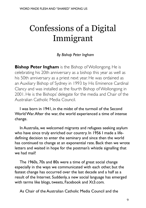# <span id="page-8-0"></span>Confessions of a Digital Immigrant

### *By Bishop Peter Ingham*

**Bishop Peter Ingham** is the Bishop of Wollongong. He is celebrating his 20th anniversary as a bishop this year as well as his 50th anniversary as a priest next year. He was ordained as an Auxiliary Bishop of Sydney in 1993 by His Eminence Cardinal Clancy and was installed as the fourth Bishop of Wollongong in 2001. He is the Bishops' delegate for the media and Chair of the Australian Catholic Media Council.

I was born in 1941, in the midst of the turmoil of the Second World War. After the war, the world experienced a time of intense change.

In Australia, we welcomed migrants and refugees seeking asylum who have since truly enriched our country. In 1956 I made a lifedefining decision to enter the seminary and since then the world has continued to change at an exponential rate. Back then we wrote letters and waited in hope for the postman's whistle signalling that we had mail!

The 1960s, 70s and 80s were a time of great social change especially in the ways we communicated with each other, but the fastest change has occurred over the last decade and a half as a result of the Internet. Suddenly, a new social language has emerged with terms like blogs, tweets, Facebook and Xt3.com*.*

As Chair of the Australian Catholic Media Council and the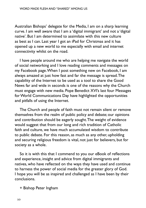Australian Bishops' delegate for the Media, I am on a sharp learning curve. I am well aware that I am a 'digital immigrant' and not a 'digital native'. But I am determined to assimilate with this new culture as best as I can. Last year I got an iPad for Christmas and it has opened up a new world to me especially with email and internet connectivity whilst on the road.

I have people around me who are helping me navigate the world of social networking and I love reading comments and messages on my Facebook page. When I post something new on Facebook, I am always amazed at just how fast and far the message is spread. The capability of the Internet to be used as a tool to share the Good News far and wide in seconds is one of the reasons why the Church must engage with new media. Pope Benedict XVI's last four Messages for World Communications Day have highlighted the opportunities and pitfalls of using the Internet.

The Church and people of faith must not remain silent or remove themselves from the realm of public policy and debate; our opinions and contribution should be eagerly sought. The weight of evidence would suggest that from our long and rich tradition of Catholic faith and culture, we have much accumulated wisdom to contribute to public debate. For this reason, as much as any other, upholding and securing religious freedom is vital, not just for believers, but for society as a whole.

So it is with this that I commend to you our eBook of reflections and experience, insight and advice from digital immigrants and natives, who have reflected on the ways they have used and continue to harness the power of social media for the greater glory of God. I hope you will be as inspired and challenged as I have been by their conclusions.

+ Bishop Peter Ingham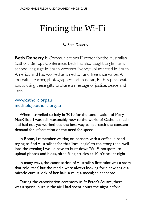# <span id="page-10-0"></span>Finding the Wi-Fi

### *By Beth Doherty*

**Beth Doherty** is Communications Director for the Australian Catholic Bishops Conference. Beth has also taught English as a second language in South Western Sydney; volunteered in South America; and has worked as an editor, and freelance writer. A journalist, teacher, photographer and musician, Beth is passionate about using these gifts to share a message of justice, peace and love.

### [www.catholic.org.au](http://www.catholic.org.au) [mediablog.catholic.org.au](http://mediablog.catholic.org.au
)

When I travelled to Italy in 2010 for the canonisation of Mary MacKillop, I was still reasonably new to the world of Catholic media and had not yet worked out the best way to approach the constant demand for information or the need for speed.

In Rome, I remember waiting on corners with a coffee in hand trying to find Australians for that 'local angle' to the story, then, well into the evening I would have to hunt down 'Wi-Fi hotspots' to upload photos and blogs, often filing articles at 10 o'clock at night.

In many ways, the canonisation of Australia's first saint was a story that told itself, but the media were always looking for a new angle: a miracle cure; a lock of her hair; a relic; a medal; an anecdote.

During the canonisation ceremony in St Peter's Square, there was a special buzz in the air. I had spent hours the night before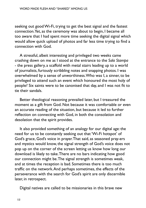seeking out good Wi-Fi, trying to get the best signal and the fastest connection. Yet, as the ceremony was about to begin, I became all too aware that I had spent more time seeking the digital signal which would allow quick upload of photos and far less time trying to find a connection with God.

A stressful, albeit interesting and privileged two weeks came crashing down on me as I stood at the entrance to the *Sala Stampa* - the press gallery, a scaffold with metal stairs leading up to a world of journalists, furiously scribbling notes and snapping photos. I was overwhelmed by a sense of unworthiness. Who was I, a sinner, to be privileged to attend such an event which honoured the most holy of people? Six saints were to be canonised that day, and I was not fit to tie their sandals.

Better theological reasoning prevailed later, but I treasured the moment as a gift from God. Not because it was comfortable or even an accurate reading of the situation, but because it led to further reflection on connecting with God, in both the consolation and desolation that the spirit provides.

It also provided something of an analogy for our digital age: the need for us to be constantly seeking out that 'Wi-Fi hotspot' of God's grace, God's voice in prayer. That said, as seasoned pray-ers and mystics would know, the signal strength of God's voice does not pop up on the corner of the screen letting us know how long our download is likely to take. There are no bars indicating how good our connection might be. The signal strength is sometimes weak, and at times the reception is bad. Sometimes there is too much traffic on the network. And perhaps sometimes, the effects of the perseverance with the search for God's spirit are only discernible later, in retrospect.

Digital natives are called to be missionaries in this brave new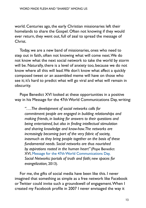world. Centuries ago, the early Christian missionaries left their homelands to share the Gospel. Often not knowing if they would ever return, they went out, full of zeal to spread the message of Christ.

Today, we are a new band of missionaries, ones who need to step out in faith, often not knowing what will come next. We do not know what the next social network to take the world by storm will be. Naturally, there is a level of anxiety too, because we do not know where all this will lead. We don't know what affect a quickly composed tweet or an assembled meme will have on those who see it; it's hard to predict what will go viral and what will remain in obscurity.

Pope Benedict XVI looked at these opportunities in a positive way in his Message for the 47th World Communications Day, writing:

*"….The development of social networks calls for commitment: people are engaged in building relationships and making friends, in looking for answers to their questions and being entertained, but also in finding intellectual stimulation and sharing knowledge and know-how. The networks are increasingly becoming part of the very fabric of society, inasmuch as they bring people together on the basis of these fundamental needs. Social networks are thus nourished by aspirations rooted in the human heart"* (Pope Benedict XVI, [Message for the 47th World Communications Day,](http://www.vatican.va/holy_father/benedict_xvi/messages/communications/documents/hf_ben-xvi_mes_20130124_47th-world-communications-day_en.html) *Social Networks: portals of truth and faith; new spaces for evangelization,* 2013).

For me, the gifts of social media have been like this. I never imagined that something as simple as a free network like Facebook or Twitter could invite such a groundswell of engagement. When I created my Facebook profile in 2007 I never envisaged the way it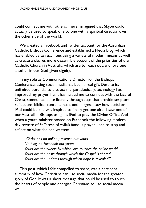could connect me with others. I never imagined that Skype could actually be used to speak one to one with a spiritual director over the other side of the world.

We created a Facebook and Twitter account for the Australian Catholic Bishops Conference and established a Media Blog, which has enabled us to reach out using a variety of modern means as well as create a clearer, more discernible account of the priorities of the Catholic Church in Australia; which are to reach out, and love one another in our God-given dignity.

In my role as Communications Director for the Bishops Conference, using social media has been a real gift. Despite its unlimited potential to distract me, paradoxically, technology has improved my prayer life. It has helped me to connect with the face of Christ, sometimes quite literally through apps that provide scriptural reflections, biblical content, music and images. I saw how useful an iPad could be and was inspired to finally get one after I saw one of our Australian Bishops using his iPad to pray the Divine Office. And when a youth minister posted on Facebook the following modernday rewrite of St Teresa of Avila's famous prayer, I had to stop and reflect on what she had written:

*"Christ has no online presence but yours No blog, no Facebook but yours Yours are the tweets by which love touches the online world Yours are the posts through which the Gospel is shared Yours are the updates through which hope is revealed."*

This post, which I felt compelled to share, was a pertinent summary of how Christians can use social media for the greater glory of God. It was a short message that could be used to touch the hearts of people and energise Christians to use social media well.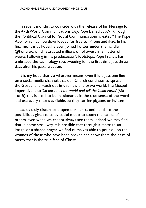In recent months, to coincide with the release of his Message for the 47th World Communications Day, Pope Benedict XVI, through the Pontifical Council for Social Communications created "The Pope App" which can be downloaded for free to iPhone and iPad. In his final months as Pope, he even joined Twitter under the handle @Pontifex, which attracted millions of followers in a matter of weeks. Following in his predecessor's footsteps, Pope Francis has embraced the technology too, tweeting for the first time just three days after his papal election.

It is my hope that via whatever means, even if it is just one line on a social media channel, that our Church continues to spread the Gospel and reach out in this new and brave world. The Gospel imperative is to *'Go out to all the world and tell the Good News'* (*Mk*  16:15); this is a call to be missionaries in the true sense of the word and use every means available, be they carrier pigeons or Twitter.

Let us truly discern and open our hearts and minds to the possibilities given to us by social media to touch the hearts of others, even when we cannot always see them. Indeed, we may find that in some small way, it is possible that through a message, an image, or a shared prayer we find ourselves able to pour oil on the wounds of those who have been broken and show them the balm of mercy that is the true face of Christ.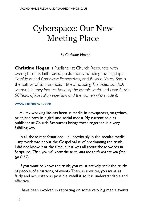# <span id="page-15-0"></span>Cyberspace: Our New Meeting Place

### *By Christine Hogan*

**Christine Hogan** is Publisher at Church Resources, with oversight of its faith-based publications, including the flagships *CathNews* and *CathNews Perspectives,* and *Bulletin Notes.* She is the author of six non-fiction titles, including *The Veiled Lands: A woman's journey into the heart of the Islamic world,* and *Look At Me: 50 Years of Australian television and the women who made it.* 

#### [www.cathnews.com](http://www.cathnews.com
)

All my working life has been in media; in newspapers, magazines, print, and now in digital and social media. My current role as publisher at Church Resources brings these together in a very fulfilling way.

In all those manifestations – all previously in the secular media – my work was about the Gospel value of proclaiming the truth. I did not know it at the time, but it was all about those words in Scripture, *'Then you will know the truth, and the truth will set you free'*  (*Jn* 8:32).

If you want to know the truth, you must actively seek the truth: of people, of situations, of events. Then, as a writer, you must, as fairly and accurately as possible, retell it so it is understandable and effective.

I have been involved in reporting on some very big media events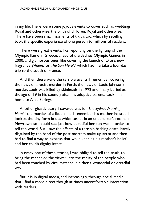in my life. There were some joyous events to cover such as weddings, Royal and otherwise; the birth of children, Royal and otherwise. There have been small moments of truth, too, which by retelling took the specific experience of one person to millions of readers.

There were great events: like reporting on the lighting of the Olympic flame in Greece, ahead of the Sydney Olympic Games in 2000; and glamorous ones, like covering the launch of Dior's new fragrance, *J'Adore*, for *The Sun Herald*, which had me take a four-day trip to the south of France.

And then there were the terrible events. I remember covering the news of a racist murder in Perth; the news of Louis Johnson's murder. Louis was killed by skinheads in 1992 and finally buried at the age of 19 in his country after his adoptive parents took him home to Alice Springs.

Another ghastly story I covered was for *The Sydney Morning Herald*; the murder of a little child. I remember his mother insisted I look at the tiny form in the white casket in an undertaker's rooms in Newtown, so I could see just how beautiful her son was in order to tell the world. But I saw the effects of a terrible bashing death, barely disguised by the hand of the post-mortem make-up artist and then had to find a way to express that while keeping his mother's belief and her child's dignity intact.

In every one of these stories, I was obliged to tell the truth, to bring the reader or the viewer into the reality of the people who had been touched by circumstance in either a wonderful or dreadful way.

But it is in digital media, and increasingly, through social media, that I find a more direct though at times uncomfortable interaction with readers.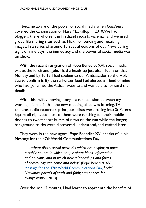I became aware of the power of social media when *CathNews*  covered the canonisation of Mary MacKillop in 2010. We had bloggers there who sent in firsthand reports via email and we used group file sharing sites such as Flickr for sending and receiving images. In a series of around 15 special editions of *CathNews* during eight or nine days, the immediacy and the power of social media was on show.

With the recent resignation of Pope Benedict XVI, social media was at the forefront again. I had a heads up just after 10pm on that Monday and by 10:15 I had spoken to our Ambassador to the Holy See to confirm it. By then a Twitter feed had alerted a friend of mine who had gone into the Vatican website and was able to forward the details.

With this swiftly moving story  $-$  a real collision between my working life and faith – the new meeting place was forming. TV cameras, radio reporters, print journalists were rolling into St Peter's Square all right, but most of them were reaching for their mobile devices to tweet short bursts of news on the run while the longer, background truths were discovered, understood, and crafted later.

They were in the new 'agora' Pope Benedict XVI speaks of in his Message for the 47th World Communications Day.

*"….where digital social networks which are helping to open a public square in which people share ideas, information and opinions, and in which new relationships and forms of community can come into being"* (Pope Benedict XVI, [Message for the 47th World Communications Day,](http://www.vatican.va/holy_father/benedict_xvi/messages/communications/documents/hf_ben-xvi_mes_20130124_47th-world-communications-day_en.html) *Social Networks: portals of truth and faith; new spaces for evangelization,* 2013).

Over the last 12 months, I had learnt to appreciate the benefits of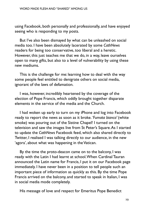using Facebook, both personally and professionally, and have enjoyed seeing who is responding to my posts.

But I've also been dismayed by what can be unleashed on social media too. I have been absolutely lacerated by some *CathNews* readers for being too conservative, too liberal and a heretic. However, this just teaches me that we do, in a way, leave ourselves open to many gifts, but also to a level of vulnerability by using these new mediums.

This is the challenge for me: learning how to deal with the way some people feel entitled to denigrate others on social media, ignorant of the laws of defamation.

I was, however, incredibly heartened by the coverage of the election of Pope Francis, which oddly brought together disparate elements in the service of the media and the Church.

I had woken up early to turn on my iPhone and log into Facebook ready to report the news as soon as it broke. *'Fumata bianca'* (white smoke) was pouring out of the Sistine Chapel! I turned on the television and saw the images live from St Peter's Square. As I started to update the *CathNews* Facebook feed, which also shared directly to Twitter, I realised I was talking directly to our audience, in the new 'agora', about what was happening in the Vatican.

By the time the proto-deacon came on to the balcony, I was ready with the Latin I had learnt at school. When Cardinal Tauran announced the Latin name for Francis, I put it on our Facebook page immediately. I have never been in a position to tell people such an important piece of information as quickly as this. By the time Pope Francis arrived on the balcony, and started to speak in Italian, I was in social media mode completely.

His message of love and respect for Emeritus Pope Benedict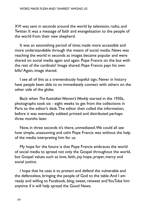XVI was sent in seconds around the world by television, radio, and Twitter. It was a message of faith and evangelisation to the people of the world from their new shepherd.

It was an astonishing period of time; made more accessible and more understandable through the means of social media. News was reaching the world in seconds as images became popular and were shared on social media again and again. Pope Francis on the bus with the rest of the cardinals? Image shared. Pope Francis pays his own bills? Again, image shared.

I see all of this as a tremendously hopeful sign. Never in history have people been able to so immediately connect with others on the other side of the globe.

Back when *The Australian Women's Weekly* started in the 1930s, photographs took six - eight weeks to get from the collections in Paris to the editor's desk. The editor then culled the information, before it was eventually subbed, printed and distributed perhaps three months later.

Now, in three seconds it's there, unmediated. We could all see how simple, unassuming and calm Pope Francis was without the help of the media interpreting him for us.

My hope for the future is that Pope Francis embraces the world of social media to spread not only the Gospel throughout the world, but Gospel values such as love, faith, joy, hope, prayer, mercy and social justice.

I hope that he uses it to protect and defend the vulnerable and the defenceless, bringing the people of God to the table. And I am ready and willing to Facebook, blog, tweet, retweet and YouTube him anytime if it will help spread the Good News.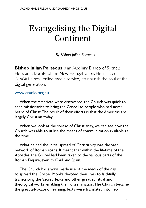# <span id="page-20-0"></span>Evangelising the Digital Continent

*By Bishop Julian Porteous*

**Bishop Julian Porteous** is an Auxiliary Bishop of Sydney. He is an advocate of the New Evangelisation. He initiated *CRADIO*, a new online media service, "to nourish the soul of the digital generation."

### [www.cradio.org.au](http://www.cradio.org.au)

When the Americas were discovered, the Church was quick to send missionaries to bring the Gospel to people who had never heard of Christ. The result of their efforts is that the Americas are largely Christian today.

When we look at the spread of Christianity, we can see how the Church was able to utilise the means of communication available at the time.

What helped the initial spread of Christianity was the vast network of Roman roads. It meant that within the lifetime of the Apostles, the Gospel had been taken to the various parts of the Roman Empire, even to Gaul and Spain.

The Church has always made use of the media of the day to spread the Gospel. Monks devoted their lives to faithfully transcribing the Sacred Texts and other great spiritual and theological works, enabling their dissemination. The Church became the great advocate of learning. Texts were translated into new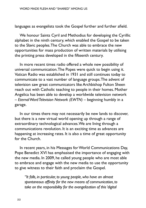languages as evangelists took the Gospel further and further afield.

We honour Saints Cyril and Methodius for developing the Cyrillic alphabet in the ninth century, which enabled the Gospel to be taken to the Slavic peoples. The Church was able to embrace the new opportunities for mass production of written materials by utilising the printing press developed in the fifteenth century.

In more recent times radio offered a whole new possibility of universal communication. The Popes were quick to begin using it. Vatican Radio was established in 1931 and still continues today to communicate to a vast number of language groups. The advent of television saw great communicators like Archbishop Fulton Sheen reach out with Catholic teaching to people in their homes. Mother Angelica has been able to develop a worldwide television network – *Eternal Word Television Network (EWTN)* – beginning humbly in a garage.

In our times there may not necessarily be new lands to discover, but there is a new virtual world opening up through a range of extraordinary technological advances. We are living through a communications revolution. It is an exciting time as advances are happening at increasing rates. It is also a time of great opportunity for the Church.

In recent years, in his Messages for World Communications Day, Pope Benedict XVI has emphasised the importance of engaging with the new media. In 2009, he called young people who are most able to embrace and engage with the new media to use the opportunity to give witness to their faith and proclaim the Gospel.

*"It falls, in particular, to young people, who have an almost spontaneous affinity for the new means of communication, to take on the responsibility for the evangelization of this 'digital*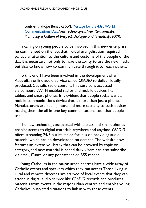*continent'"*(Pope Benedict XVI, [Message for the 43rd World](http://www.vatican.va/holy_father/benedict_xvi/messages/communications/documents/hf_ben-xvi_mes_20090124_43rd-world-communications-day_en.html)  [Communications Day,](http://www.vatican.va/holy_father/benedict_xvi/messages/communications/documents/hf_ben-xvi_mes_20090124_43rd-world-communications-day_en.html)*New Technologies, New Relationships. Promoting a Culture of Respect, Dialogue and Friendship,* 2009).

In calling on young people to be involved in this new enterprise he commented on the fact that fruitful evangelisation required particular attention to the culture and customs of the people of the day. It is necessary not only to have the ability to use the new media, but also to know how to communicate through it to reach others.

To this end, I have been involved in the development of an Australian online audio service called *CRADIO* to deliver locallyproduced, Catholic radio content. This service is accessed via computer; Wi-Fi enabled radios and mobile devices like tablets and smart phones. It is evident that people today want a mobile communications device that is more than just a phone. Manufacturers are adding more and more capacity to such devices, making them the all-in-one key communications tool that people use.

The new technology associated with tablets and smart phones enables access to digital materials anywhere and anytime. *CRADIO* offers streaming 24/7 but its major focus is on providing audio material which can be downloaded on demand. The website now features an extensive library that can be browsed by topic or category, and new material is added daily. Users can also subscribe via email, iTunes, or any podcatcher or RSS reader.

Young Catholics in the major urban centres have a wide array of Catholic events and speakers which they can access. Those living in rural and remote dioceses are starved of local events that they can attend. A digital audio service like *CRADIO* records and produces materials from events in the major urban centres and enables young Catholics in isolated situations to link in with these events.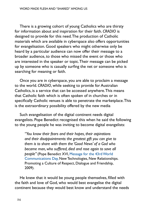There is a growing cohort of young Catholics who are thirsty for information about and inspiration for their faith. *CRADIO* is designed to provide for this need. The production of Catholic materials which are available in cyberspace also offers opportunities for evangelisation. Good speakers who might otherwise only be heard by a particular audience can now offer their message to a broader audience, to those who missed the event or those who are interested in the speaker or topic. Their message can be picked up by someone who is casually surfing the net or someone who is searching for meaning or faith.

Once you are in cyberspace, you are able to proclaim a message to the world. *CRADIO*, while seeking to provide for Australian Catholics, is a service that can be accessed anywhere. This means that Catholic faith which is often spoken of in churches or in specifically Catholic venues is able to penetrate the marketplace. This is the extraordinary possibility offered by the new media

Such evangelisation of the digital continent needs digital evangelists. Pope Benedict recognised this when he said the following to the young people he was inviting to become digital evangelists:

*"You know their fears and their hopes, their aspirations and their disappointments: the greatest gift you can give to them is to share with them the 'Good News' of a God who became man, who suffered, died and rose again to save all people"* (Pope Benedict XVI, [Message for the 43rd World](http://www.vatican.va/holy_father/benedict_xvi/messages/communications/documents/hf_ben-xvi_mes_20090124_43rd-world-communications-day_en.html)  [Communications Day,](http://www.vatican.va/holy_father/benedict_xvi/messages/communications/documents/hf_ben-xvi_mes_20090124_43rd-world-communications-day_en.html) New Technologies, New Relationships. Promoting a Culture of Respect, Dialogue and Friendship, 2009).

He knew that it would be young people themselves, filled with the faith and love of God, who would best evangelise the digital continent because they would best know and understand the needs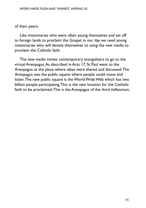of their peers.

Like missionaries who were often young themselves and set off to foreign lands to proclaim the Gospel, in our day we need young missionaries who will devote themselves to using the new media to proclaim the Catholic faith.

The new media invites contemporary evangelisers to go to the virtual Areopagus. As described in Acts 17, St Paul went to the Areopagus as the place where ideas were shared and discussed. The Areopagus was the public square where people could come and listen. The new public square is the World Wide Web which has two billion people participating. This is the new location for the Catholic faith to be proclaimed. This is the Areopagus of the third millennium.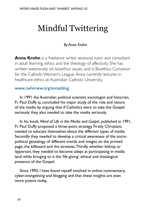# <span id="page-25-0"></span>Mindful Twittering

### *By Anna Krohn*

**Anna Krohn** is a freelance writer sessional tutor and consultant in adult learning, ethics and the theology of affectivity. She has written extensively on bioethics issues, and is Bioethics Convenor for the Catholic Women's League. Anna currently lectures in healthcare ethics at Australian Catholic University.

### [www.cwlvicww.org/annasblog](http://www.cwlvicww.org/annasblog)

In 1991 the Australian political scientist, sociologist and historian, Fr. Paul Duffy sj, concluded his major study of the role and nature of the media by arguing that if Catholics were to take the Gospel seriously they also needed to take the media seriously.

In his book, *Word of Life in the Media and Gospel,* published in 1991, Fr. Paul Duffy proposed a three-point strategy. Firstly Christians needed to educate themselves about the different types of media. Secondly they needed to develop a critical awareness of the sociopolitical genealogy of different trends and images on the printed page, the billboard and the airwaves. Thirdly, whether bishop or layperson, they needed to become adept at participating in media land while bringing to it the 'life-giving' ethical and theological presence of the Gospel.

Since 1993, I have found myself involved in online commentary, cyber-evangelising and blogging and that these insights are even more potent today.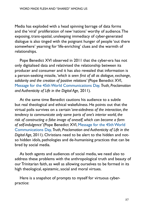Media has exploded with a head spinning barrage of data forms and the 'viral' proliferation of new 'nations' worthy of audience. The exposing, trans-spatial, unsleeping immediacy of cyber-generated dialogue is also tinged with the poignant hunger of people 'out there somewhere' yearning for 'life-enriching' clues and the warmth of relationships.

Pope Benedict XVI observed in 2011 that the cyber-era has not only digitalised data and relativised the relationship between its producer and consumer and it has also revealed that information is a person-seeking missile, *'which is seen first of all as dialogue, exchange, solidarity and the creation of positive relations'* (Pope Benedict XVI, [Message for the 45th World Communications Day](http://www.vatican.va/holy_father/benedict_xvi/messages/communications/documents/hf_ben-xvi_mes_20110124_45th-world-communications-day_en.html), *Truth, Proclamation and Authenticity of Life in the Digital Age,* 2011).

At the same time Benedict cautions his audience to a subtle but real theological and ethical wakefulness. He points out that the virtual polis survives on a certain *'one-sidedness of the interaction, the tendency to communicate only some parts of one's interior world, the risk of constructing a false image of oneself, which can become a form of self-indulgence'* (Pope Benedict XVI, [Message for the 45th World](http://www.vatican.va/holy_father/benedict_xvi/messages/communications/documents/hf_ben-xvi_mes_20110124_45th-world-communications-day_en.html)  [Communications Day](http://www.vatican.va/holy_father/benedict_xvi/messages/communications/documents/hf_ben-xvi_mes_20110124_45th-world-communications-day_en.html), *Truth, Proclamation and Authenticity of Life in the Digital Age,* 2011). Christians need to be alert to the hidden and notso hidden idols, pathologies and de-humanising practices that can be bred by social media.

As both agents and audiences of social media, we need also to address these problems with the anthropological truth and beauty of our Trinitarian faith, as well as allowing ourselves to be formed in its high theological, epistemic, social and moral virtues.

Here is a snapshot of prompts to myself for virtuous cyberpractice: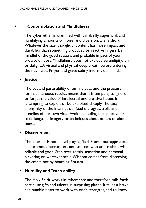### **Contemplation and Mindfulness**

The cyber ether is crammed with banal, silly, superficial, and numbifying amounts of 'noise' and diversion. Life is short. Whatever the size, thoughtful content has more impact and durability than something produced by reactive fingers. Be mindful of the good reasons and probable impact of your browse or post. Mindfulness does not exclude serendipity, fun or delight. A virtual and physical deep breath before entering the fray helps. Prayer and grace subtly informs our minds.

### **• Justice**

The cut and paste-ability of on-line data, and the pressure for instantaneous results, means that it is tempting to ignore or forget the value of intellectual and creative labour. It is tempting to exploit or be exploited cheaply. The easy anonymity of the internet can feed the ogres, trolls and gremlins of our own vices. Avoid degrading, manipulative or toxic language, imagery or techniques about others or about oneself.

#### **• Discernment**

The internet is not a level playing field. Search out, appreciate and promote interpreters and sources who are truthful, wise, reliable and good. Step over gossip, sensation and personal bickering on whatever scale. Wisdom comes from discerning the cream not by hoarding flotsam.

### **• Humility andTeach-ability**

The Holy Spirit works in cyberspace and therefore calls forth particular gifts and talents in surprising places. It takes a brave and humble heart to work with one's strengths, and to know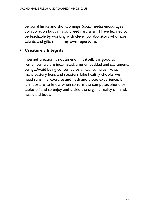personal limits and shortcomings. Social media encourages collaboration but can also breed narcissism. I have learned to be teachable by working with clever collaborators who have talents and gifts thin in my own repertoire.

### **• Creaturely Integrity**

Internet creation is not an end in it itself. It is good to remember we are incarnated, time-embedded and sacramental beings. Avoid being consumed by virtual stimulus like so many battery hens and roosters. Like healthy chooks, we need sunshine, exercise and flesh and blood experience. It is important to know when to turn the computer, phone or tablet off and to enjoy and tackle the organic reality of mind, heart and body.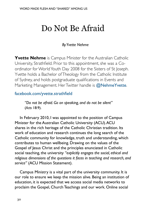### <span id="page-29-0"></span>Do Not Be Afraid

### *By Yvette Nehme*

**Yvette Nehme** is Campus Minister for the Australian Catholic University, Strathfield. Prior to this appointment, she was a Coordinator for World Youth Day 2008 for the Sisters of St Joseph. Yvette holds a Bachelor of Theology from the Catholic Institute of Sydney, and holds postgraduate qualifications in Events and Marketing Management. Her Twitter handle is [@NehmeYvette](https://twitter.com/nehmeyvette).

### [facebook.com/yvette.strathfield](https://www.facebook.com/yvette.strathfield)

*"Do not be afraid. Go on speaking, and do not be silent"*  (*Acts* 18:9).

In February 2010, I was appointed to the position of Campus Minister for the Australian Catholic University (ACU). ACU shares in the rich heritage of the Catholic Christian tradition. Its work of education and research continues the long search of the Catholic community for knowledge, truth and understanding, which contributes to human wellbeing. Drawing on the values of the Gospel of Jesus Christ and the principles enunciated in Catholic social teaching, the university *"explicitly engages the social, ethical and religious dimensions of the questions it faces in teaching and research, and service"* (ACU Mission Statement).

Campus Ministry is a vital part of the university community. It is our role to ensure we keep the mission alive. Being an institution of education, it is expected that we access social media networks to proclaim the Gospel, Church Teachings and our work. Online social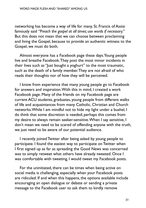networking has become a way of life for many. St. Francis of Assisi famously said *"Preach the gospel at all times; use words if necessary."* But this does not mean that we can choose between proclaiming and living the Gospel, because to provide an authentic witness to the Gospel, we must do both.

Almost everyone has a Facebook page these days. Young people live and breathe Facebook. They post the most minor incidents in their lives such as "Just bought a yoghurt" to the most traumatic, such as the death of a family member. They are not afraid of who reads their thoughts nor of how they will be perceived.

I know from experience that many young people go to Facebook for answers and inspiration. With this in mind, I created a work Facebook page. Many of the friends on my Facebook page are current ACU students, graduates, young people from different walks of life and acquaintances from many Catholic, Christian and Church networks. While I am mindful not to hide my light under a bushel, I do think that some discretion is needed; perhaps this comes from my desire to always remain seeker-sensitive. When I say sensitive, I don't mean we need to be scared of offending anyone with the truth, we just need to be aware of our potential audience.

I recently joined Twitter after being asked by young people to participate. I found the easiest way to participate on Twitter when I first signed up as far as spreading the Good News was concerned was to simply retweet what others have already tweeted. Once I was comfortable with tweeting, I would tweet my Facebook posts.

For the uninitiated, there can be times when being active on social media is challenging, especially when your Facebook posts are ridiculed. If and when this happens, the options available include encouraging an open dialogue or debate or sending a private message to the Facebook user to ask them to kindly remove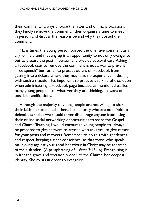their comment. I always choose the latter and on many occasions they kindly remove the comment. I then organise a time to meet in person and discuss the reasons behind why they posted the comment.

Many times the young person posted the offensive comment as a cry for help, and meeting up is an opportunity to not only evangelise but to discuss the post in person and provide pastoral care. Asking a Facebook user to remove the comment is not a way to prevent "free speech" but rather to protect others on Facebook from getting into a debate where they may have no experience in dealing with such a situation. It's important to practise this kind of discretion when administering a Facebook page because, as mentioned earlier, many young people post whatever they are thinking, unaware of possible ramifications.

Although the majority of young people are not willing to share their faith on social media there is a minority who are not afraid to defend their faith. We should never discourage anyone from using their online social networking opportunities to share the Gospel and Church Teaching. I would encourage young people to "always be prepared to give answers to anyone who asks you to give reason for your posts and retweets. Remember to do this with gentleness and respect, keeping a clear conscience, so that those who speak maliciously against your good behaviour in Christ may be ashamed of their slander" (A paraphrasing of *1 Peter* 3:15-16). Evangelising is in fact the grace and vocation proper to the Church, her deepest identity. She exists in order to evangelise.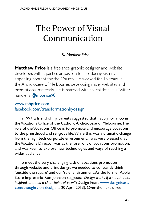### <span id="page-32-0"></span>The Power of Visual Communication

### *By Matthew Price*

**Matthew Price** is a freelance graphic designer and website developer, with a particular passion for producing visuallyappealing content for the Church. He worked for 13 years in the Archdiocese of Melbourne, developing many websites and promotional materials. He is married with six children. His Twitter handle is [@mbprice98](https://twitter.com/@mbprice98).

### [www.mbprice.com](http://www.mbprice.com) [facebook.com/transformationbydesign](https://www.facebook.com/transformationbydesign)

In 1997, a friend of my parents suggested that I apply for a job in the Vocations Office of the Catholic Archdiocese of Melbourne. The role of the Vocations Office is to promote and encourage vocations to the priesthood and religious life. While this was a dramatic change from the high tech corporate environment, I was very blessed that the Vocations Director was at the forefront of vocations promotion, and was keen to explore new technologies and ways of reaching a wider audience.

To meet the very challenging task of vocations promotion through website and print design, we needed to constantly think 'outside the square' and our 'safe' environment. As the former Apple Store impresario Ron Johnson suggests: *"Design works if it's authentic, inspired, and has a clear point of view"* (Design Feast [www.designfeast.](http://www.designfeast.com/thoughts-on-design) [com/thoughts-on-design](http://www.designfeast.com/thoughts-on-design) at 20 April 2013)*.* Over the next three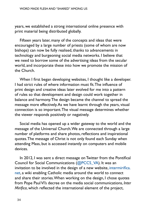years, we established a strong international online presence with print material being distributed globally.

Fifteen years later, many of the concepts and ideas that were encouraged by a large number of priests (some of whom are now bishops) can now be fully realised, thanks to advancements in technology and burgeoning social media networks. I believe that we need to borrow some of the advertising ideas from the secular world, and incorporate these into how we promote the mission of the Church.

When I first began developing websites, I thought like a developer. I had strict rules of where information must fit. The influence of print design and creative ideas later evolved for me into a pattern of rules so that development and design could work together in balance and harmony. The design became the channel to spread the message more effectively. As we have learnt through the years, visual connection is so important. The visual message determines whether the viewer responds positively or negatively.

Social media has opened up a wider gateway to the world and the message of the Universal Church. We are connected through a large number of platforms and share photos, reflections and inspirational quotes. The message of Christ is not only found each Sunday when attending Mass, but is accessed instantly on computers and mobile devices.

In 2012, I was sent a direct message on Twitter from the Pontifical Council for Social Communications ([@PCCS\\_VA\)](https://twitter.com/PCCS_VA). It was an invitation to be involved in the design of a new website, [intermirifica.](http://intermirifica.net/home.aspx) [net](http://intermirifica.net/home.aspx), a wiki enabling Catholic media around the world to connect and share their stories. When working on the design, I chose quotes from Pope Paul VI's decree on the media social communications, *Inter Mirifica*, which reflected the international element of the project,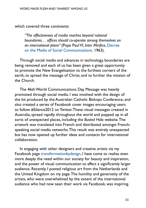which covered three continents:

*"The effectiveness of media reaches beyond national boundaries… offices should co-operate among themselves on an international plane"* (Pope Paul VI, *Inter Mirifica*, [Decree](http://www.vatican.va/archive/hist_councils/ii_vatican_council/documents/vat-ii_decree_19631204_inter-mirifica_en.html)  [on the Media of Social Communications,](http://www.vatican.va/archive/hist_councils/ii_vatican_council/documents/vat-ii_decree_19631204_inter-mirifica_en.html) 1963).

Through social media and advances in technology, boundaries are being removed and each of us has been given a great opportunity to promote the New Evangelisation to the furthest corners of the earth, to spread the message of Christ, and to further the mission of the Church.

The 46th World Communications Day Message was heavily promoted through social media. I was involved with the design of the kit produced by the Australian Catholic Bishops Conference, and also created a series of Facebook cover images encouraging users to follow #Silence2012 on Twitter. These visual messages created in Australia, spread rapidly throughout the world and popped up in all sorts of unexpected places, including the *Busted Halo* website. The artwork was translated into French and distributed amongst Frenchspeaking social media networks. This result was entirely unexpected but has now opened up further ideas and contacts for international collaboration.

In engaging with other designers and creative artists via my Facebook page [transformationbydesign,](https://www.facebook.com/transformationbydesign) I have come to realise even more deeply the need within our society for beauty and inspiration, and the power of visual communication to affect a significantly larger audience. Recently, I posted religious art from the Netherlands and the United Kingdom on my page. The humility and generosity of the artists, who were overwhelmed by the extent of the international audience who had now seen their work via Facebook, was inspiring.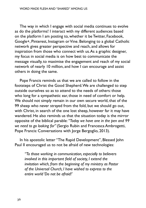The way in which I engage with social media continues to evolve as do the platforms! I interact with my different audiences based on the platform I am posting to, whether it be Twitter, Facebook, Google+, Pinterest, Instagram or Vine. Belonging to a global Catholic network gives greater perspective and reach, and allows for inspiration from those who connect with us. As a graphic designer, my focus in social media is on how best to communicate the message visually, to maximise the engagement and reach of my social network of nearly 10 million, and how I can encourage and assist others in doing the same.

Pope Francis reminds us that we are called to follow in the footsteps of Christ the Good Shepherd. We are challenged to step outside ourselves so as to attend to the needs of others: those who long for a sympathetic ear, those in need of comfort or help. We should not simply remain in our own secure world, that of the 99 sheep who never strayed from the fold, but we should go out, with Christ, in search of the one lost sheep, however far it may have wandered. He also reminds us that the situation today is the mirror opposite of the biblical parable: *"Today we have one in the pen and 99 we need to go looking for"* (Sergio Rubin and Francesca Ambrogetti, Pope Francis: Conversations with Jorge Bergoglio, 2013).

In his apostolic letter "The Rapid Development", Blessed John Paul II encouraged us to not be afraid of new technologies:

*"To those working in communication, especially to believers involved in this important field of society, I extend the invitation which, from the beginning of my ministry as Pastor of the Universal Church, I have wished to express to the entire world 'Do not be afraid!'*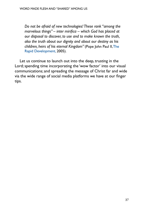*Do not be afraid of new technologies! These rank "among the marvelous things" – inter mirifica – which God has placed at our disposal to discover, to use and to make known the truth, also the truth about our dignity and about our destiny as his children, heirs of his eternal Kingdom"* (Pope John Paul II, [The](http://www.vatican.va/holy_father/john_paul_ii/apost_letters/documents/hf_jp-ii_apl_20050124_il-rapido-sviluppo_en.html)  [Rapid Development,](http://www.vatican.va/holy_father/john_paul_ii/apost_letters/documents/hf_jp-ii_apl_20050124_il-rapido-sviluppo_en.html) 2005).

Let us continue to launch out into the deep, trusting in the Lord; spending time incorporating the 'wow factor' into our visual communications; and spreading the message of Christ far and wide via the wide range of social media platforms we have at our finger tips.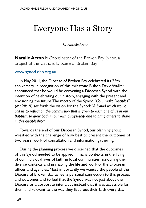### Everyone Has a Story

#### *By Natalie Acton*

**Natalie Acton** is Coordinator of the Broken Bay Synod, a project of the Catholic Diocese of Broken Bay.

#### [www.synod.dbb.org.au](http://www.synod.dbb.org.au)

In May 2011, the Diocese of Broken Bay celebrated its 25th anniversary. In recognition of this milestone Bishop David Walker announced that he would be convening a Diocesan Synod with the intention of celebrating our history, engaging with the present and envisioning the future. The motto of the Synod *"Go…make Disciples"*  (*Mt* 28:19) set forth the vision for the Synod: *"A Synod which would call us to reflect on the commission that is given to each one of us in our Baptism, to grow both in our own discipleship and to bring others to share in this discipleship."* 

Towards the end of our Diocesan Synod, our planning group wrestled with the challenge of how best to present the outcomes of two years' work of consultation and information gathering.

During the planning process we discerned that the outcomes of this Synod needed to be applied in many contexts, in the living of our individual lives of faith, in local communities honouring their diverse contexts and in shaping the life and work of the Diocesan offices and agencies. Most importantly we wanted the people of the Diocese of Broken Bay to feel a personal connection to this process and outcomes and to feel that the Synod was not just about the Diocese or a corporate intent, but instead that it was accessible for them and relevant to the way they lived out their faith every day.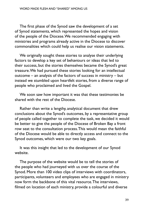The first phase of the Synod saw the development of a set of Synod statements, which represented the hopes and vision of the people of the Diocese. We recommended engaging with ministries and programs already active in the Diocese to discover commonalities which could help us realise our vision statements.

We originally sought these stories to analyse their underlying factors to develop a key set of behaviours or ideas that led to their success, but the stories themselves became the Synod's great treasure. We had pursued these stories looking for an intellectual outcome – an analysis of the factors of success in ministry – but instead we stumbled upon heartfelt stories, from a diverse range of people who proclaimed and lived the Gospel.

We soon saw how important it was that these testimonies be shared with the rest of the Diocese.

Rather than write a lengthy, analytical document that drew conclusions about the Synod's outcomes, by a representative group of people called together to complete the task, we decided it would be better to give the people of the Diocese of Broken Bay a front row seat to the consultation process. This would mean the faithful of the Diocese would be able to directly access and connect to the Synod outcomes, which were our two key goals.

It was this insight that led to the development of our Synod website.

The purpose of the website would be to tell the stories of the people who had journeyed with us over the course of the Synod. More than 100 video clips of interviews with coordinators, participants, volunteers and employees who are engaged in ministry now form the backbone of this vital resource. The interviews, filmed on location of each ministry, provide a colourful and diverse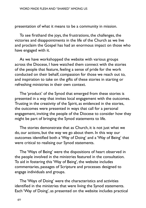presentation of what it means to be a community in mission.

To see firsthand the joys, the frustrations, the challenges, the victories and disappointments in the life of the Church as we live and proclaim the Gospel has had an enormous impact on those who have engaged with it.

As we have workshopped the website with various groups across the Diocese, I have watched them connect with the stories of the people that feature, feeling a sense of pride for the work conducted on their behalf, compassion for those we reach out to, and inspiration to take on the gifts of these stories in starting or refreshing ministries in their own context.

The 'product' of the Synod that emerged from these stories is presented in a way that invites local engagement with the outcomes. Trusting in the creativity of the Spirit, as evidenced in the stories, the outcomes were presented in ways that call for a personal engagement, inviting the people of the Diocese to consider how they might be part of bringing the Synod statements to life.

The stories demonstrate that as Church, it is not just what we do, our actions, but the way we go about them. In this way our outcomes identified both a 'Way of Doing' and a 'Way of Being' that were critical to realising our Synod statements.

The 'Ways of Being' were the dispositions of heart observed in the people involved in the ministries featured in the consultation. To aid in fostering this 'Way of Being', the website includes commentaries, passages of Scripture and processes designed to engage individuals and groups.

The 'Ways of Doing' were the characteristics and activities identified in the ministries that were living the Synod statements. Each 'Way of Doing', as presented on the website includes practical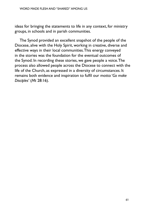ideas for bringing the statements to life in any context, for ministry groups, in schools and in parish communities.

The Synod provided an excellent snapshot of the people of the Diocese, alive with the Holy Spirit, working in creative, diverse and effective ways in their local communities. This energy conveyed in the stories was the foundation for the eventual outcomes of the Synod. In recording these stories, we gave people a voice. The process also allowed people across the Diocese to connect with the life of the Church, as expressed in a diversity of circumstances. It remains both evidence and inspiration to fulfil our motto '*Go make Disciples'* (*Mt* 28:16).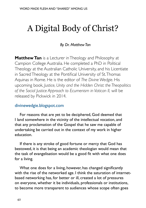# A Digital Body of Christ?

#### *By Dr. Matthew Tan*

**MatthewTan** is a Lecturer in Theology and Philosophy at Campion College Australia. He completed a PhD in Political Theology at the Australian Catholic University, and his Licentiate in Sacred Theology at the Pontifical University of St. Thomas Aquinas in Rome. He is the editor of *The Divine Wedgie*. His upcoming book, *Justice, Unity and the Hidden Christ: the Theopolitics of the Social Justice Approach to Ecumenism in Vatican II,* will be released by Pickwick in 2014.

#### [divinewedgie.blogspot.com](http://divinewedgie.blogspot.com)

For reasons that are yet to be deciphered, God deemed that I land somewhere in the vicinity of the intellectual vocation, and that any proclamation of the Gospel that he saw me capable of undertaking be carried out in the context of my work in higher education.

If there is any stroke of good fortune or mercy that God has bestowed, it is that being an academic theologian would mean that the task of evangelisation would be a good fit with what one does for a living.

What one does for a living, however, has changed significantly with the rise of the networked age. I think the saturation of internetbased networking has, for better or ill, created a lot of pressures on everyone, whether it be individuals, professionals or institutions, to become more transparent to audiences whose scope often goes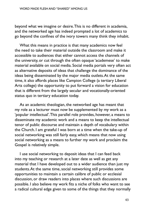beyond what we imagine or desire. This is no different in academia, and the networked age has indeed prompted a lot of academics to go beyond the confines of the ivory towers many think they inhabit.

What this means in practice is that many academics now feel the need to take their material outside the classroom and make it accessible to audiences that either cannot access the channels of the university, or cut through the often opaque 'academese' to make material available on social media. Social media portals very often act as alternative deposits of ideas that challenge the dominance of the ideas being disseminated by the major media outlets. At the same time, it also affords places like Campion College (a tertiary Liberal Arts college) the opportunity to put forward a vision for education that is different from the largely secular and vocationally-oriented status quo in tertiary education today.

As an academic theologian, the networked age has meant that my role as a lecturer must now be supplemented by my work as a 'popular intellectual'. This parallel role provides, however, a means to disseminate my academic work and a means to keep the intellectual tenor of public discourse and maintain a depth of vocabulary within the Church. I am grateful I was born at a time when the take-up of social networking was still fairly easy, which means that now using social networking as a means to further my work and proclaim the Gospel is relatively simple.

I use social networking to deposit ideas that I can feed back into my teaching or research at a later date as well as get any material that I have developed out to a wider audience than just my students. At the same time, social networking still provides some opportunities to maintain a certain calibre of public or ecclesial discussion, or draw readers into places where such discussions are possible. I also believe my work fits a niche of folks who want to see a radical cultural edge given to some of the things that they normally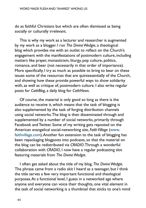do as faithful Christians but which are often dismissed as being socially or culturally irrelevant.

This is why my work as a lecturer and researcher is augmented by my work as a blogger. I run *The Divine Wedgie*, a theological blog which provides me with an outlet to reflect on the Church's engagement with the manifestations of postmodern culture, including matters like prayer, monasticism, liturgy, pop culture, politics, romance, and beer (not necessarily in that order of importance). More specifically, I try as much as possible to bring to bear on these issues some of the resources that are quintessentially of the Church, and showing how these provide powerful ways to show solidarity with, as well as critique of, postmodern culture. I also write regular posts for *CathBlog*, a daily blog for *CathNews*.

Of course, the material is only good so long as there is the audience to receive it, which means that the task of blogging is also supplemented by the task of forging distribution channels using social networks. The blog is then disseminated through and supplemented by a number of social networks, primarily through Facebook and Twitter. Some of my writing gets reposted on the American evangelical social-networking site, *Faith Village* [\(www.](http://www.faithvillage.com) [faithvillage.com](http://www.faithvillage.com)). Another fun extension to the task of blogging has been repackaging blogposts into podcasts, so that the material on the blog can be redistributed via *CRADIO*. Through a wonderful collaboration with *CRADIO*, I now have a regular podcasting slot featuring materials from *The Divine Wedgie*.

I often get asked about the title of my blog, *The Divine Wedgie*. The phrase came from a radio skit I heard as a teenager, but I think the title serves a few very important functional and theological purposes. At a functional level, I guess in a networked age where anyone and everyone can voice their thoughts, one vital element in the task of social networking is a thumbnail that sticks to one's mind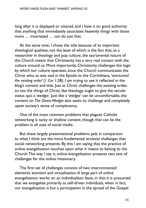long after it is displayed or uttered, and I have it on good authority that anything that immediately associates heavenly things with those more … incarnated … can do just that.

At the same time, I chose the title because of its important theological qualities, not the least of which is the fact that, as a researcher in theology and pop culture, the sacramental nature of the Church means that Christianity has a very real contact with the culture around us. More importantly, Christianity challenges the logic by which our culture operates, since the Church communicates the Christ who, as was said in the Epistle to the Corinthians, *'overturned the existing order'* (1 *Cor* 1:28). I am trying to see it reflected in the blog's content and title. Just as Christ challenges the existing order, so too the things of Christ, like theology, ought to give the secular status quo a 'wedgie'. Just like a 'wedgie' can be uncomfortable, the content on *The Divine Wedgie* also seeks to challenge and completely upset society's sense of complacency.

One of the most common problems that plagues Catholic networking is tacky or shallow content, though that can be the problem in all uses of social media.

But these largely presentational problems pale in comparison to what I think are the more fundamental ecclesial challenges that social networking presents. By this I am saying that the practice of online evangelisation touches upon what it means to belong to the Church. The way I see it, online evangelisation presents two sets of challenges for the online missionary.

The first set of challenges consists of two interconnected elements: atomism and virtualisation. A large part of online evangelisation works on an individualistic basis, in that it is presumed that we evangelise primarily as self-driven individuals, when in fact, our evangelisation is but a participation in the spread of the Gospel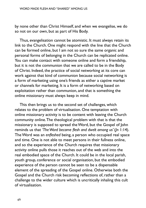by none other than Christ Himself, and when we evangelise, we do so not on our own, but as part of His Body.

Thus, evangelisation cannot be atomistic. It must always retain its link to the Church. One might respond with the line that the Church can be formed online, but I am not so sure the same organic and personal forms of belonging in the Church can be replicated online. You can make contact with someone online and form a friendship, but it is not the communion that we are called to be in the Body of Christ. Indeed, the practice of social networking at its core can work against that kind of communion because social networking is a form of marketing using one's friends as either a captive market or channels for marketing. It is a form of networking based on exploitation rather than communion, and that is something the online missionary must always keep in mind.

This then brings us to the second set of challenges, which relates to the problem of virtualisation. One temptation with online missionary activity is to be content with leaving the Church community online. The theological problem with that is that the missionary is supposed to spread the Word, but the Gospel of John reminds us that *'The Word became flesh and dwelt among us'* (*Jn* 1:14). The Word was an *enfleshed* being, a person who occupied real space and time. One is not able to meet persons in their fullness online, and so the experience of the Church requires that missionary activity online pulls those it reaches out of the web and into the real embodied space of the Church. It could be in the local parish, youth group, conference or social organisation, but the embodied experience of the person cannot be seen to be a dispensable element of the spreading of the Gospel online. Otherwise both the Gospel and the Church risk becoming reflections of, rather than a challenge to the wider culture which is uncritically inhaling this cult of virtualisation.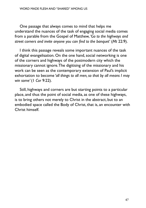One passage that always comes to mind that helps me understand the nuances of the task of engaging social media comes from a parable from the Gospel of Matthew, *'Go to the highways and street corners and invite anyone you can find to the banquet'* (*Mt* 22:9).

I think this passage reveals some important nuances of the task of digital evangelisation. On the one hand, social networking is one of the corners and highways of the postmodern city which the missionary cannot ignore. The digitising of the missionary and his work can be seen as the contemporary extension of Paul's implicit exhortation to become *'all things to all men, so that by all means I may win some'* (1 *Cor* 9:22).

Still, highways and corners are but starting points to a particular place, and thus the point of social media, as one of these highways, is to bring others not merely to Christ in the abstract, but to an embodied space called the Body of Christ, that is, an encounter with Christ himself.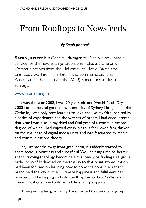## From Rooftops to Newsfeeds

### *By Sarah Juszczak*

**Sarah Juszczak** is General Manager of Cradio, a new media service for the new evangelisation. She holds a Bachelor of Communications from the University of Notre Dame and previously worked in marketing and communications at Australian Catholic University (ACU), specialising in digital strategy.

#### [www.cradio.org.au](http://www.cradio.org.au)

It was the year 2008, I was 20 years old and World Youth Day 2008 had come and gone in my home city of Sydney. Though a cradle Catholic, I was only now learning to love and live my faith inspired by a series of experiences and the witness of others I had encountered that year. I was also in my third and final year of a communications degree, of which I had enjoyed every bit thus far. I loved film, thrived on the challenge of digital media units, and was fascinated by media and communications theory.

Yet, just months away from graduation, it suddenly started to seem tedious, pointless and superficial. Wouldn't my time be better spent studying theology, becoming a missionary or finding a religious order to join? It dawned on me that up to that point, my education had been focused on learning how to convince consumers that x brand held the key to their ultimate happiness and fulfilment. Yet how would I be helping to build the Kingdom of God? What did communications have to do with Christianity, anyway?

Three years after graduating, I was invited to speak to a group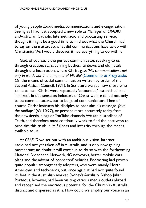of young people about media, communications and evangelisation. Seeing as I had just accepted a new role as Manager of *CRADIO*, an Australian Catholic Internet radio and podcasting service, I thought it might be a good time to find out what the Church had to say on the matter. So, what did communications have to do with Christianity? As I would discover, it had everything to do with it.

God, of course, is the perfect communicator, speaking to us through creation: stars, burning bushes, rainbows and ultimately through the Incarnation, where Christ gave *'His communication... not only in words but in the manner of His life'* ([Communio et Progressio:](http://www.vatican.va/roman_curia/pontifical_councils/pccs/documents/rc_pc_pccs_doc_23051971_communio_en.html) On the means of social communication written by order of the Second Vatican Council, 1971). In Scripture we see how those who came to hear Christ were repeatedly 'astounded,' 'astonished' and 'amazed'. In this sense, as imitators of Christ we are called not only to be communicators, but to be good communicators. Then of course Christ instructs his disciples to proclaim his message *'from the rooftops'* (*Mt* 10:27), or perhaps more accurately today, from the newsfeeds, blogs or YouTube channels. We are custodians of Truth, and therefore must continually work to find the best ways to proclaim this truth in its fullness and integrity through the means available to us.

At *CRADIO* we set out with an ambitious vision. Internet radio had not yet taken off in Australia, and is only now gaining momentum; no doubt it will continue to do so with the forthcoming National Broadband Network, 4G networks, better mobile data plans and the advent of 'connected' vehicles. Podcasting had proven quite popular amongst early adopters, who were mainly North Americans and tech-nerds, but, once again, it had not quite found its feet in the Australian market. Sydney's Auxiliary Bishop Julian Porteous, however, had been visiting various media outlets abroad and recognised the enormous potential for the Church in Australia, distinct and dispersed as it is. How could we amplify our voice in an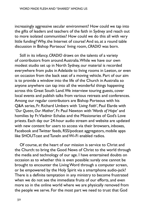increasingly aggressive secular environment? How could we tap into the gifts of leaders and teachers of the faith in Sydney and reach out to more isolated communities? How could we do this all with very little funding? Why, the Internet of course! And so, at a round table discussion in Bishop Porteous' living room, *CRADIO* was born.

Still in its infancy, *CRADIO* draws on the talents of a variety of contributors from around Australia. While we have our own modest studio set up in North Sydney, our material is recorded everywhere from pubs in Adelaide to living rooms in Leeton, or even on occasion from the back seat of a moving vehicle. Part of our aim is to provide a window into the life of the Church in Australia so anyone anywhere can tap into all the wonderful things happening across this Great South Land. We interview touring guests, cover local events and publish talks from various retreats and conferences. Among our regular contributors are Bishop Porteous with his Q&A series, Fr. Richard Umbers with *'Living Faith'*, Paul Elarde with '*Our Queen, Our Mother'*, Fr. Paul Newton with *'Words of Hope'* and homilies by Fr. Vladmir Echalas and the Missionaries of God's Love priests. Each day our 24-hour audio stream and website are updated with new content for users to access via their browsers, inboxes, Facebook and Twitter feeds, RSS/podcast aggregators, mobile apps like SHOUTcast and TuneIn and Wi-Fi enabled radios.

Of course, at the heart of our mission is service to Christ and the Church: to bring the Good News of Christ to the world through the media and technology of our age. I have entertained doubts on occasion as to whether this is even possible: surely one cannot be brought to encounter the Living Word through a computer screen, or be empowered by the Holy Spirit via a smartphone audio-jack? There is a definite temptation in any ministry to become frustrated when we do not see the immediate fruits of our efforts, and even more so in the online world where we are physically removed from the people we serve. For the most part we need to trust that God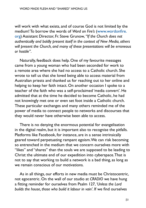will work with what exists, and of course God is not limited by the medium! To borrow the words of *Word on Fire's* ([www.wordonfire.](http://www.wordonfire.org) [org](http://www.wordonfire.org)) Assistant Director, Fr. Steve Grunow, *"If the Church does not authentically and boldly present itself in the context of New Media, others will present the Church, and many of these presentations will be erroneous or hostile"*.

Naturally, feedback does help. One of my favourite messages came from a young woman who had been seconded for work to a remote area where she had no access to a Catholic church. She wrote to tell us that she loved being able to access material from Australian priests and thanked us for reaching out to her online and helping to keep her faith intact. On another occasion I spoke to a teacher of the faith who was a self-proclaimed 'media convert'. He admitted that at the time he decided to become Catholic, he had not knowingly met one or even set foot inside a Catholic church. These particular exchanges and many others reminded me of the power of media to connect people to networks and discourses that they would never have otherwise been able to access.

There is no denying the enormous potential for evangelisation in the digital realm, but it is important also to recognise the pitfalls. Platforms like Facebook, for instance, are in a sense intrinsically geared toward perpetuating rampant egoism. We can risk becoming so entrenched in the medium that we concern ourselves more with "likes" and "shares" than the souls we are supposed to be leading to Christ: the ultimate end of our expedition into cyberspace. That is not to say that working to build a network is a bad thing, as long as we remain conscious of our motivations.

As in all things, our efforts in new media must be Christocentric, not egocentric. On the wall of our studio at *CRADIO* we have hung a fitting reminder for ourselves from Psalm 127, *'Unless the Lord builds the house, those who build it labour in vain'*. If we find ourselves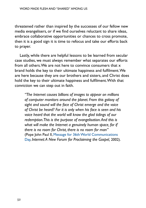threatened rather than inspired by the successes of our fellow new media evangelisers, or if we find ourselves reluctant to share ideas, embrace collaborative opportunities or chances to cross promote, then it is a good sign it is time to refocus and take our efforts back to prayer.

Lastly, while there are helpful lessons to be learned from secular case studies, we must always remember what separates our efforts from all others. We are not here to convince consumers that x brand holds the key to their ultimate happiness and fulfilment. We are here because they are our brothers and sisters, and Christ does hold the key to their ultimate happiness and fulfilment. With that conviction we can step out in faith.

*"The Internet causes billions of images to appear on millions of computer monitors around the planet. From this galaxy of sight and sound will the face of Christ emerge and the voice of Christ be heard? For it is only when his face is seen and his voice heard that the world will know the glad tidings of our redemption. This is the purpose of evangelisation. And this is what will make the Internet a genuinely human space, for if there is no room for Christ, there is no room for man"*  (Pope John Paul II, [Message for 36th World Communications](http://www.vatican.va/holy_father/john_paul_ii/messages/communications/documents/hf_jp-ii_mes_20020122_world-communications-day_en.html)  [Day](http://www.vatican.va/holy_father/john_paul_ii/messages/communications/documents/hf_jp-ii_mes_20020122_world-communications-day_en.html), *Internet: A New Forum for Proclaiming the Gospel,* 2002).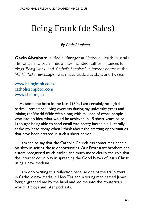## Being Frank (de Sales)

#### *By Gavin Abraham*

**Gavin Abraham** is Media Manager at Catholic Health Australia. His forays into social media have included authoring pieces for blogs *'Being Frank'* and *'Catholic Soapbox*'. A former editor of the *NZ Catholic* newspaper, Gavin also podcasts, blogs and tweets.

### [www.beingfrank.co.nz](http://www.beingfrank.co.nz) [catholicsoapbox.com](http://catholicsoapbox.com) [www.cha.org.au](http://www.cha.org.au)

As someone born in the late 1970s, I am certainly no digital native. I remember living overseas during my university years and joining the World Wide Web along with millions of other people who had no idea what would be achieved in 15 short years or so. I thought being able to send email was pretty incredible. I literally shake my head today when I think about the amazing opportunities that have been created in such a short period.

I am sad to say that the Catholic Church has sometimes been a bit slow in seizing those opportunities. Our Protestant brothers and sisters recognised much earlier and much more clearly the role that the Internet could play in spreading the Good News of Jesus Christ using a new medium.

I am only writing this reflection because one of the trailblazers in Catholic new media in New Zealand, a young man named James Bergin, grabbed me by the hand and led me into the mysterious world of blogs and later podcasts.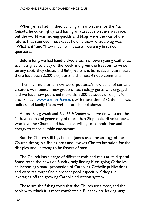When James had finished building a new website for the *NZ Catholic*, he quite rightly said having an attractive website was nice, but the world was moving quickly and blogs were the way of the future. That sounded fine, except I didn't know what a blog was. "What is it" and "How much will it cost?" were my first two questions.

Before long, we had hand-picked a team of seven young Catholics, each assigned to a day of the week and given the freedom to write on any topic they chose, and *Being Frank* was born. Seven years later, there have been 2,200 blog posts and almost 49,000 comments.

Then I learnt another new word: podcast. A new panel of content creators was found, a new group of technology gurus was engaged and we have now published more than 200 episodes through *The 15th Station* (www[.station15.co.nz](http://station15.co.nz/)), with discussion of Catholic news, politics and family life, as well as catechetical shows.

Across *Being Frank* and *The 15th Station*, we have drawn upon the faith, wisdom and generosity of more than 25 people, all volunteers, who love the Church and have been willing to commit time and energy to these humble endeavours.

But the Church still lags behind. James uses the analogy of the Church sitting in a fishing boat and invokes Christ's invitation for the disciples, and us today, to be fishers of men.

The Church has a range of different rods and reels at its disposal. Some reach the pews on Sunday, only finding Mass-going Catholics – an increasingly small proportion of Catholics. Catholic publications and websites might find a broader pool, especially if they are leveraging off the growing Catholic education system.

Those are the fishing tools that the Church uses most, and the tools with which it is most comfortable. But they are leaving large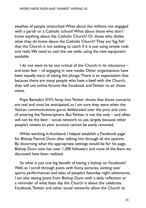swathes of people untouched. What about the millions not engaged with a parish or a Catholic school? What about those who don't know anything about the Catholic Church? Or those who dislike what they do know about the Catholic Church? They are 'big fish' that the Church is not seeking to catch if it is just using simple rods and reels. We need to cast the net wide, using the new equipment available.

I do not want to be too critical of the Church in its reluctance – and even fear – of engaging in new media. Other organisations have been equally wary of taking the plunge. There is an expectation that because there are many people who have a beef with the Church, they will use online forums like Facebook and Twitter to air those views.

Pope Benedict XVI's foray into Twitter shows that those concerns are real and must be anticipated, as I am sure they were when the Vatican communications gurus deliberated over the pros and cons of entering the Twittersphere. But Twitter is not the only – and often will not be the best – social network to use, largely because other people's tweets to your account cannot be easily removed.

While working in Auckland, I helped establish a Facebook page for Bishop Patrick Dunn after talking him through all the options. By discerning what the appropriate settings would be for his page, Bishop Dunn now has over 1,300 followers and none of the fears we discussed have been realised.

So what is just one big benefit of having a bishop on Facebook? Well, as I scroll through posts with funny pictures, venting over sports performances and tales of people's Saturday night adventures, I am also seeing posts from Bishop Dunn with a daily reflection or a reminder of what feast day the Church is about the celebrate. Facebook, Twitter and other social networks allow the Church to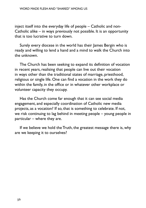inject itself into the everyday life of people – Catholic and non-Catholic alike – in ways previously not possible. It is an opportunity that is too lucrative to turn down.

Surely every diocese in the world has their James Bergin who is ready and willing to lend a hand and a mind to walk the Church into the unknown.

The Church has been seeking to expand its definition of vocation in recent years, realising that people can live out their vocation in ways other than the traditional states of marriage, priesthood, religious or single life. One can find a vocation in the work they do within the family, in the office or in whatever other workplace or volunteer capacity they occupy.

Has the Church come far enough that it can see social media engagement, and especially coordination of Catholic new media projects, as a vocation? If so, that is something to celebrate. If not, we risk continuing to lag behind in meeting people – young people in particular – where they are.

If we believe we hold the Truth, the greatest message there is, why are we keeping it to ourselves?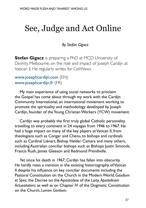### See, Judge and Act Online

*By Stefan Gigacz*

**Stefan Gigacz** is preparing a PhD at MCD University of Divinity, Melbourne, on the role and impact of Joseph Cardijn at Vatican II. He regularly writes for *CathNews*.

```
www.josephcardijn.com (EN) 
www.josephcardijn.fr (FR)
```
My main experience of using social networks to proclaim the Gospel has come about through my work with the Cardijn Community International, an international movement working to promote the spirituality and methodology developed by Joseph Cardijn, founder of the Young Christian Workers (YCW) movement.

Cardijn was probably the first truly global Catholic personality, travelling to every continent in 24 voyages from 1946 to 1967. He had a huge impact on many of the key players at Vatican II, from theologians such as Congar and Chenu, to bishops and cardinals such as Cardinal Liénart, Bishop Helder Camara and many others, including Australian conciliar bishops such as Bishops Justin Simonds, Francis Rush, James Gleeson and Redmond Prendiville.

Yet since his death in 1967, Cardijn has fallen into obscurity. He hardly rates a mention in the existing historiography of Vatican II despite his influence on key conciliar documents including the Pastoral Constitution on the Church in the Modern World, *Gaudium et Spes;* the Decree on the Apostolate of the Laity, *Apostolicam Actuositatem;* as well as on Chapter IV of the Dogmatic Constitution on the Church, *Lumen Gentium*.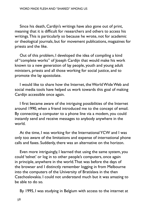Since his death, Cardijn's writings have also gone out of print, meaning that it is difficult for researchers and others to access his writings. This is particularly so because he wrote, not for academic or theological journals, but for movement publications, magazines for priests and the like.

Out of this problem, I developed the idea of compiling a kind of "complete works" of Joseph Cardijn that would make his work known to a new generation of lay people, youth and young adult ministers, priests and all those working for social justice, and to promote the lay apostolate.

I would like to share how the Internet, the World Wide Web and social media tools have helped us work towards this goal of making Cardijn accessible once again.

I first became aware of the intriguing possibilities of the Internet around 1990, when a friend introduced me to the concept of email. By connecting a computer to a phone line via a modem, you could instantly send and receive messages to anybody anywhere in the world.

At the time, I was working for the International YCW and I was only too aware of the limitations and expense of international phone calls and faxes. Suddenly, there was an alternative on the horizon.

Even more intriguingly, I learned that using the same system, you could 'telnet' or log in to other people's computers, once again in principle, anywhere in the world. That was before the days of the browser and I distinctly remember logging in from Melbourne into the computers of the University of Bratislava in the then Czechoslovakia. I could not understand much but it was amazing to be able to do so.

By 1995, I was studying in Belgium with access to the internet at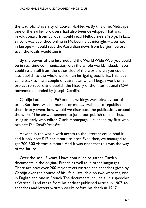the Catholic University of Louvain-la-Neuve. By this time, Netscape, one of the earlier browsers, had also been developed. That was revolutionary; from Europe I could read Melbourne's *The Age*. In fact, since it was published online in Melbourne at midnight – afternoon in Europe – I could read the Australian news from Belgium before even the locals would see it.

By the power of the Internet and the World Wide Web, you could be in real time communication with the whole world. Indeed, if you could read stuff from the other side of the world, then you could also publish to the whole world - an intriguing possibility. This idea came back to me a couple of years later when I began work on a project to record and publish the history of the International YCW movement, founded by Joseph Cardijn.

Cardijn had died in 1967 and his writings were already out of print. But there was no market or money available to republish them. In any event, how would we distribute the publications around the world? The answer seemed to jump out: publish online. Thus, using an early web editor, Claris Homepage, I launched my first web project: *The Cardijn Website*.

Anyone in the world with access to the internet could read it, and it only cost \$12 per month to host. Even then, we managed to get 200-300 visitors a month. And it was clear that this was the way of the future.

Over the last 15 years, I have continued to gather Cardijn documents in the original French as well as in other languages. There are now over 200 major texts written and speeches given by Cardijn over the course of his life all available on two websites, one in English and one in French. The documents include all his speeches at Vatican II and range from his earliest published article in 1907, to speeches and letters written weeks before his death in 1967.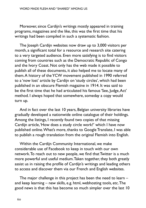Moreover, since Cardijn's writings mostly appeared in training programs, magazines and the like, this was the first time that his writings had been compiled in such a systematic fashion.

The Joseph Cardijn websites now draw up to 3,000 visitors per month, a significant total for a resource and research site catering to a very targeted audience. Even more satisfying is to find visitors coming from countries such as the Democratic Republic of Congo and the Ivory Coast. Not only has the web made it possible to publish all of these documents, it also helped me to locate many of them. A history of the YCW movement published in 1990 referred to a 'now lost' article by Cardijn on 'study circles', which had been published in an obscure Flemish magazine in 1914. It was said to be the first time that he had articulated his famous 'See, Judge, Act' method. I always hoped that somewhere, someday a copy would turn up.

And in fact over the last 10 years, Belgian university libraries have gradually developed a nationwide online catalogue of their holdings. Among the listings, I recently found two copies of that missing Cardijn article, 'How does a study circle work?' which I have now published online. What's more, thanks to Google Translate, I was able to publish a rough translation from the original Flemish into English.

Within the Cardijn Community International, we make considerable use of Facebook to keep in touch with our own network. To reach out to new people, we find that Twitter is a much more powerful and useful medium. Taken together, they both greatly assist us in raising the profile of Cardijn's writings and leading others to access and discover them via our French and English websites.

The major challenge in this project has been the need to learn – and keep learning – new skills, e.g. html, webhosting tools, etc. The good news is that this has become so much simpler over the last 10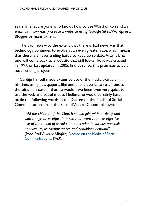years. In effect, anyone who knows how to use Word or to send an email can now easily create a website using Google Sites, Wordpress, Blogger or many others.

The bad news – to the extent that there is bad news – is that technology continues to evolve at an even greater rate; which means that there is a never-ending battle to keep up to date. After all, noone will come back to a website that still looks like it was created in 1997, or last updated in 2005. In that sense, this promises to be a never-ending project!

Cardijn himself made extensive use of the media available in his time, using newspapers, film and public events to reach out to the laity. I am certain that he would have been even very quick to use the web and social media. I believe he would certainly have made the following words in the Decree on the Media of Social Communications from the Second Vatican Council his own:

 *"All the children of the Church should join, without delay and with the greatest effort in a common work to make effective use of the media of social communication in various apostolic endeavours, as circumstances and conditions demand"* (Pope Paul VI, *Inter Mirifica,* [Decree on the Media of Social](http://www.vatican.va/archive/hist_councils/ii_vatican_council/documents/vat-ii_decree_19631204_inter-mirifica_en.html)  [Communications](http://www.vatican.va/archive/hist_councils/ii_vatican_council/documents/vat-ii_decree_19631204_inter-mirifica_en.html), 1963).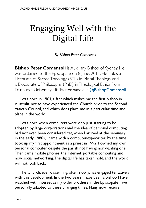## Engaging Well with the Digital Life

*By Bishop Peter Comensoli* 

**Bishop Peter Comensoli** is Auxiliary Bishop of Sydney. He was ordained to the Episcopate on 8 June, 2011. He holds a Licentiate of Sacred Theology (STL) in Moral Theology and a Doctorate of Philosophy (PhD) in Theological Ethics from Edinburgh University. His Twitter handle is [@BishopComensoli](https://twitter.com/BishopComensoli).

I was born in 1964, a fact which makes me the first bishop in Australia not to have experienced the Church prior to the Second Vatican Council, and which does place me in a particular time and place in the world.

I was born when computers were only just starting to be adopted by large corporations and the idea of personal computing had not even been considered. Yet, when I arrived at the seminary in the early 1980s, I came with a computer-typewriter. By the time I took up my first appointment as a priest in 1992, I owned my own personal computer, despite the parish not having nor wanting one. Then came mobile phones, the Internet, portable computing and now social networking. The digital life has taken hold, and the world will not look back.

The Church, ever discerning, often slowly, has engaged tentatively with this development. In the two years I have been a bishop I have watched with interest as my older brothers in the Episcopate have personally adapted to these changing times. Many now receive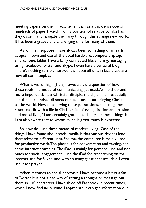meeting papers on their iPads, rather than as a thick envelope of hundreds of pages. I watch from a position of relative comfort as they discern and navigate their way through this strange new world. It has been a graced and challenging time for many of them.

As for me, I suppose I have always been something of an early adopter. I own and use all the usual hardware: computer, laptop, smartphone, tablet. I live a fairly connected life: emailing, messaging, using Facebook, Twitter and Skype. I even have a personal blog. There's nothing terribly noteworthy about all this, in fact these are now all commonplace.

What is worth highlighting however, is the question of how these tools and mode of communicating get used. As a bishop, and more importantly as a Christian disciple, the digital life – especially social media – raises all sorts of questions about bringing Christ to the world. How does having these possessions, and using these resources, fit with a life in Christ, a life of evangelisation and mission and moral living? I am certainly grateful each day for these things, but I am also aware that to whom much is given, much is expected.

So, how do I use these means of modern living? One of the things I have found about social media is that various devices lend themselves to different uses. For me, the computer is mainly used for productive work. The phone is for conversation and texting, and some internet searching. The iPad is mainly for personal use, and not much for social engagement. I use the iPad for researching on the internet and for Skype, and with so many great apps available, I even use it for prayer.

When it comes to social networks, I have become a bit of a fan of Twitter. It is not a bad way of getting a thought or message out there in 140 characters. I have shied off Facebook in recent times, which I now find fairly inane. I appreciate it can get information out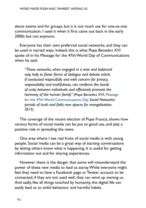about events and for groups, but it is not much use for one-to-one communication. I used it when it first came out back in the early 2000s but not anymore.

Everyone has their own preferred social networks, and they can be used in myriad ways. Indeed, this is what Pope Benedict XVI spoke of in his Message for the 47th World Day of Communications when he said:

*"These networks, when engaged in a wise and balanced way, help to foster forms of dialogue and debate which, if conducted respectfully and with concern for privacy, responsibility and truthfulness, can reinforce the bonds of unity between individuals and effectively promote the harmony of the human family"* (Pope Benedict XVI, [Message](http://www.vatican.va/holy_father/benedict_xvi/messages/communications/documents/hf_ben-xvi_mes_20130124_47th-world-communications-day_en.html)  [for the 47th World Communications Day](http://www.vatican.va/holy_father/benedict_xvi/messages/communications/documents/hf_ben-xvi_mes_20130124_47th-world-communications-day_en.html), *Social Networks: portals of truth and faith; new spaces for evangelization*, 2013).

The coverage of the recent election of Pope Francis, shows how various forms of social media can be put to good use, and play a positive role in spreading the news.

One area where I see real fruits of social media is with young people. Social media can be a great way of starting conversations by letting others know what is happening. It is useful for getting information out and for sharing experiences.

However there is the danger that some will misunderstand the power of these new media to lead us astray. While everyone might feel they need to have a Facebook page or Twitter account to be connected, if they are not used well, they can wind up owning us. And sadly, like all things touched by humanity, the digital life can easily lead us to sinful behaviour and harmful habits.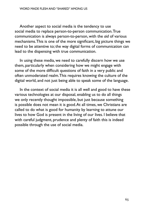Another aspect to social media is the tendency to use social media to replace person-to-person communication. True communication is always person-to-person, with the *aid* of various mechanisms. This is one of the more significant, big picture things we need to be attentive to; the way digital forms of communication can lead to the dispensing with true communication.

In using these media, we need to carefully discern how we use them, particularly when considering how we might engage with some of the more difficult questions of faith in a very public and often unmoderated realm. This requires knowing the culture of the digital world, and not just being able to speak some of the language.

In the context of social media it is all well and good to have these various technologies at our disposal, enabling us to do all things we only recently thought impossible, but just because something is possible does not mean it is good. At all times, we Christians are called to do what is good for humanity by learning to attune our lives to how God is present in the living of our lives. I believe that with careful judgment, prudence and plenty of faith this is indeed possible through the use of social media.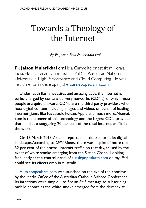## Towards a Theology of the Internet

*By Fr. Jaison Paul Mulerikkal cmi*

**Fr. Jaison Mulerikkal cmi** is a Carmelite priest from Kerala, India. He has recently finished his PhD at Australian National University in High Performance and Cloud Computing. He was instrumental in developing the [aussiepopealarm.com](http://aussiepopealarm.com).

Underneath flashy websites and amazing apps, the Internet is turbo-charged by content delivery networks (CDNs), of which most people are quite unaware. CDNs are the third-party providers who host digital content including images and videos on behalf of leading internet giants like Facebook, Twitter, Apple and much more. Akamai. com is the pioneer of this technology and the largest CDN provider that handles a staggering 20 per cent of the total Internet traffic in the world.

On 13 March 2013, *Akamai* reported a little tremor in its digital landscape. According to *CNN Money*, there was a spike of more than 32 per cent of the normal Internet traffic on that day, caused by the event of white smoke emerging from the Sistine Chapel. Looking frequently at the control panel of [aussiepopealarm.com](http://aussiepopealarm.com) on my iPad, I could see its effects even in Australia.

[Aussiepopealarm.com](http://Aussiepopealarm.com) was launched on the eve of the conclave by the Media Office of the Australian Catholic Bishops Conference. Its intentions were simple – to fire an SMS message to subscribing mobile phones as the white smoke emerged from the chimney at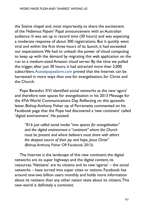the Sistine chapel and, most importantly, to share the excitement of the *'Habemus Papam'* Papal announcement with an Australian audience. It was set up in record time (30 hours) and was expecting a moderate response of about 300 registrations. But it quickly went viral and within the first three hours of its launch, it had exceeded our expectations. We had to unleash the power of cloud computing to keep up with the demand by migrating this web application on the run to a medium-sized Amazon cloud server. By the time we pulled the trigger, after just 30 hours, it had attracted more than 3,000 subscribers. [Aussiepopealarm.com](http://Aussiepopealarm.com) proved that the Internet can be harnessed in more ways than one for evangelisation, for Christ and the Church.

Pope Benedict XVI identified social networks as the new 'agora' and therefore new spaces for evangelisation in his 2013 Message for the 47th World Communications Day. Reflecting on this apostolic letter, Bishop Anthony Fisher op of Parramatta commented on his Facebook page that the Pope had discovered a 'new continent' called 'digital environment'. He posted:

*"B16 just called social media "new spaces for evangelisation" and the digital environment a "continent" where the Church must be present and where believers must share with others the deepest source of their joy and hope, Jesus Christ"*  (Bishop Anthony Fisher OP, Facebook, 2013).

The Internet is the landscape of this new continent; the digital networks are its super highways and the digital content, its resources. 'Netizens' are its citizens and its new 'agoras' – the social networks – have turned into super cities or nations. Facebook has around one-two billion users monthly and holds more information about its netizens than any other nation state about its citizens. This new world is definitely a continent.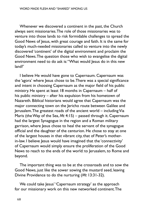Whenever we discovered a continent in the past, the Church always sent missionaries. The role of those missionaries was to venture into those lands to risk formidable challenges to spread the Good News of Jesus, with great courage and faith. It is the same for today's much-needed missionaries called to venture into the newly discovered 'continent' of the digital environment and proclaim the Good News. The question those who wish to evangelise the digital environment need to do ask is: "What would Jesus do in this new land?'

I believe He would have gone to Capernaum. Capernaum was the 'agora' where Jesus chose to be. There was a special significance and intent in choosing Capernaum as the major field of his public ministry. He spent at least 18 months in Capernaum – half of his public ministry – after his expulsion from his hometown of Nazareth. Biblical historians would agree that Capernaum was the major connecting town on the Jericho route between Galilee and Jerusalem. The greatest roads of the ancient world – including Via Maris (the Way of the Sea, *Mt* 4:15) – passed through it. Capernaum had the largest Synagogue in the region and a Roman military garrison, where Jesus chose to heal the servant of the synagogue official and the daughter of the centurion. He chose to stay at one of the largest houses in that vibrant city, that of Peter's motherin-law. I believe Jesus would have imagined that the 'connectivity' of Capernaum would simply ensure the proliferation of the Good News to reach to the ends of the world: to Jerusalem, to Rome and beyond.

The important thing was to be at the crossroads and to sow the Good News, just like the sower sowing the mustard seed, leaving Divine Providence to do the nurturing (*Mt* 13:31-32).

We could take Jesus' 'Capernaum strategy' as the approach for our missionary work on this new networked continent. The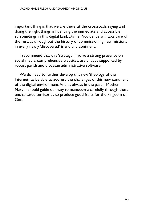important thing is that we are there, at the crossroads, saying and doing the right things, influencing the immediate and accessible surroundings in this digital land. Divine Providence will take care of the rest, as throughout the history of commissioning new missions in every newly 'discovered' island and continent.

I recommend that this 'strategy' involve a strong presence on social media, comprehensive websites, useful apps supported by robust parish and diocesan administrative software.

We do need to further develop this new 'theology of the Internet' to be able to address the challenges of this new continent of the digital environment. And as always in the past – Mother Mary – should guide our way to manoeuvre carefully through these unchartered territories to produce good fruits for the kingdom of God.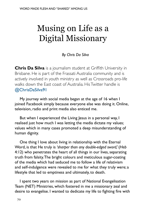### Musing on Life as a Digital Missionary

#### *By Chris Da Silva*

**Chris Da Silva** is a journalism student at Griffith University in Brisbane. He is part of the Frassati Australia community and is actively involved in youth ministry as well as Crossroads pro-life walks down the East coast of Australia. His Twitter handle is [@ChrisDaSilva91](https://twitter.com/ChrisDaSilva91)

My journey with social media began at the age of 16 when I joined Facebook simply because everyone else was doing it. Online, television, radio and print media also enticed me.

But when I experienced the Living Jesus in a personal way, I realised just how much I was letting the media dictate my values; values which in many cases promoted a deep misunderstanding of human dignity.

One thing I love about living in relationship with the Eternal Word, is that He truly is *'sharper than any double-edged sword,'* (*Heb* 4:12) who penetrates the heart of all things in our lives, separating truth from falsity. The bright colours and meticulous sugar-coating of the media which had seduced me to follow a life of relativism and self-indulgence were revealed to me for what they truly were; a lifestyle that led to emptiness and ultimately, to death.

I spent two years on mission as part of National Evangelisation Team (NET) Ministries, which fostered in me a missionary zeal and desire to evangelise. I wanted to dedicate my life to fighting fire with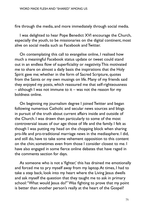fire through the media, and more immediately through social media.

I was delighted to hear Pope Benedict XVI encourage the Church, especially the youth, to be missionaries on the digital continent, most alive on social media such as Facebook and Twitter.

On contemplating this call to evangelise online, I realised how much a meaningful Facebook status update or tweet could stand out in an endless flow of superficiality or negativity. This motivated me to share on almost a daily basis the inspirations that the Holy Spirit gave me; whether in the form of Sacred Scripture, quotes from the Saints or my own musings on life. Many of my friends said they enjoyed my posts, which reassured me that self-righteousness  $-$  although I was not immune to it – was not the reason for my boldness online.

On beginning my journalism degree I joined Twitter and began following numerous Catholic and secular news sources and blogs in pursuit of the truth about current affairs inside and outside of the Church. I was drawn then particularly to some of the most controversial issues of our age: those of life and the family. I felt as though I was putting my head on the chopping block when sharing pro-life and pro-traditional marriage news in the mediasphere. I did, and still do, have to take some vehement opposition to this content on the chin; sometimes even from those I consider closest to me. I have also engaged in some fierce online debates that have raged in the comments section for days.

As someone who is not a 'fighter,' this has drained me emotionally and forced me to pry myself away from my laptop. At times, I had to take a step back, look into my heart where the Living Jesus dwells and ask myself the question that they taught me to ask in primary school: "What would Jesus do?" Was fighting to prove that my point is better than another person's really at the heart of the Gospel?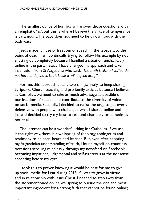The smallest ounce of humility will answer those questions with an emphatic 'no', but this is where I believe the virtue of temperance is paramount. The baby does not need to be thrown out with the bath water.

Jesus made full use of freedom of speech in the Gospels, to the point of death. I am continually trying to follow His example by not shutting up completely because I handled a situation uncharitably online in the past. Instead I have changed my approach and taken inspiration from St Augustine who said, *"The truth is like a lion. You do not have to defend it. Let it loose; it will defend itself"*.

For me, this approach entails two things: firstly, to keep sharing Scripture, Church teaching and pro-family articles because I believe, as Catholics, we need to take as much advantage as possible of our freedom of speech and contribute to the diversity of voices on social media. Secondly, I decided to resist the urge to get overly defensive with people who challenged what I shared online and instead decided to try my best to respond charitably or sometimes not at all.

The Internet can be a wonderful thing for Catholics. If we use it the right way, there is a wellspring of theology, apologetics and testimony to be seen, heard and learned. But, even after adopting my Augustinian understanding of truth, I found myself on countless occasions scrolling mindlessly through my newsfeed on Facebook, becoming impatient, judgemental and self-righteous at the nonsense appearing before my eyes.

I took this to prayer knowing it would be best for me to give up social media for Lent during 2013. If I was to grow in virtue and in relationship with Jesus Christ, I needed to step away from the aforementioned online wellspring to pursue the one and most important ingredient for a strong faith that cannot be found online;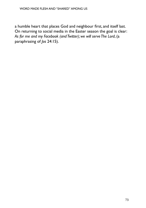a humble heart that places God and neighbour first, and itself last. On returning to social media in the Easter season the goal is clear: *As for me and my Facebook (and Twitter); we will serve The Lord*, (a paraphrasing of *Jos* 24:15).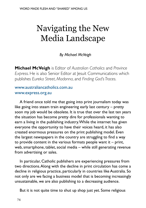# Navigating the New Media Landscape

## *By Michael McVeigh*

**Michael McVeigh** is Editor of *Australian Catholics* and *Province Express*. He is also Senior Editor at Jesuit Communications which publishes *Eureka Street*, *Madonna*, and *Finding God's Traces*.

[www.australiancatholics.com.au](http://www.australiancatholics.com.au/) [www.express.org.au](http://www.express.org.au)

A friend once told me that going into print journalism today was like going into steam train engineering early last century – pretty soon my job would be obsolete. It is true that over the last ten years the situation has become pretty dire for professionals wanting to earn a living in the publishing industry. While the internet has given everyone the opportunity to have their voices heard, it has also created enormous pressures on the print publishing model. Even the largest newspapers in the country are struggling to find a way to provide content in the various formats people want it  $-$  print, web, smartphone, tablet, social media – while still generating revenue from advertising or sales.

In particular, Catholic publishers are experiencing pressures from two directions. Along with the decline in print circulation has come a decline in religious practice, particularly in countries like Australia. So not only are we facing a business model that is becoming increasingly unsustainable, we are also publishing to a decreasing audience.

But it is not quite time to shut up shop just yet. Some religious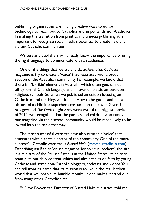publishing organisations are finding creative ways to utilise technology to reach out to Catholics and, importantly, non-Catholics. In making the transition from print to multimedia publishing, it is important to recognise social media's potential to create new and vibrant Catholic communities.

Writers and publishers will already know the importance of using the right language to communicate with an audience.

One of the things that we try and do at *Australian Catholics* magazine is try to create a 'voice' that resonates with a broad section of the Australian community. For example, we know that there is a 'larrikin' element in Australia, which often gets turned off by formal Church language and an over-emphasis on traditional religious symbols. So when we published an edition focusing on Catholic moral teaching, we titled it 'How to be good', and put a picture of a child in a superhero costume on the cover. Given *The Avengers* and *The Dark Knight Rises* were two of the biggest movies of 2012, we recognised that the parents and children who receive our magazine via their school community would be more likely to be invited into the topic that way.

The most successful websites have also created a 'voice' that resonates with a certain sector of the community. One of the more successful Catholic websites is *Busted Halo* ([www.bustedhalo.com\)](http://www.bustedhalo.com). Describing itself as an 'online magazine for spiritual seekers', the site is a ministry of the Pauline Fathers in the United States. Its editorial team puts out daily content, which includes articles on faith by young Catholic and some non-Catholic bloggers, podcasts and videos. You can tell from its name that its mission is to live in the real, broken world that we inhabit. Its humble moniker alone makes it stand out from many other Catholic sites.

Fr. Dave Dwyer csp, Director of Busted Halo Ministries, told me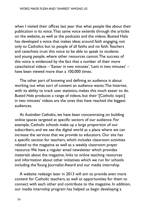when I visited their offices last year that what people like about their publication is its voice. That same voice extends through the articles on the website, as well as the podcasts and the videos. Busted Halo has developed a voice that makes ideas around faith engaging, not only to Catholics but to people of all faiths and no faith. Teachers and catechists trust this voice to be able to speak to students and young people, where other resources cannot. The success of this voice is evidenced by the fact that a number of their more catechetical videos – 'Easter in two minutes', 'Lent in two minutes' – have been viewed more than a 100,000 times.

The other part of knowing and defining an audience is about working out what sort of content an audience wants. The Internet, with its ability to track user statistics, makes this much easier to do. **Busted Halo produces a range of videos, but their '[Catholic topic]** in two minutes' videos are the ones that have reached the biggest audiences.

At *Australian Catholics*, we have been concentrating on building online spaces targeted at specific sectors of our audience. For example, Catholic schools make up a large proportion of our subscribers, and we see the digital world as a place where we can increase the services that we provide to educators. Our site has a specific section for teachers, which includes classroom activities related to the magazine as well as a weekly classroom prayer resource. We have a regular email newsletter which provides materials about the magazine, links to online teaching resources and information about other initiatives which we run for schools including the Young Journalist Award and our media internship.

A website redesign later in 2013 will aim to provide even more content for Catholic teachers, as well as opportunities for them to connect with each other and contribute to the magazine. In addition, our media internship program has helped us begin developing a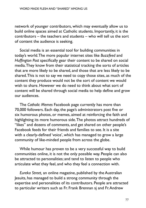network of younger contributors, which may eventually allow us to build online spaces aimed at Catholic students. Importantly, it is the contributors – the teachers and students – who will tell us the sort of content the audience is seeking.

Social media is an essential tool for building communities in today's world. The more popular internet sites like *Buzzfeed* and *Huffington Post* specifically gear their content to be shared on social media. They know from their statistical tracking the sorts of articles that are more likely to be shared, and those that are less likely to be shared. This is not to say we need to copy those sites, as much of the content they produce would not be the sort of content we would wish to share. However we do need to think about what sort of content will be shared through social media to help define and grow our audiences.

The *Catholic Memes* Facebook page currently has more than 70,000 followers. Each day, the page's administrators post five or six humorous photos, or memes, aimed at reinforcing the faith and highlighting its more humorous side. The photos attract hundreds of "likes" and dozens of comments, and get shared on other people's Facebook feeds for their friends and families to see. It is a site with a clearly-defined 'voice', which has managed to grow a large community of like-minded people from across the globe.

While humour has proven to be a very successful way to build communities online, it is not the only possible way. People can also be attracted to personalities; and tend to listen to people who articulate what they feel, and who they feel a connection with.

*Eureka Street,* an online magazine, published by the Australian Jesuits, has managed to build a strong community through the expertise and personalities of its contributors. People are attracted to particular writers such as Fr. Frank Brennan sj and Fr. Andrew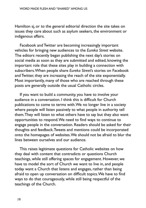Hamilton sj, or to the general editorial direction the site takes on issues they care about such as asylum seekers, the environment or indigenous affairs.

Facebook and Twitter are becoming increasingly important vehicles for bringing new audiences to the *Eureka Street* website. The editors recently began publishing the next day's stories on social media as soon as they are submitted and edited, knowing the important role that these sites play in building a connection with subscribers. When people share *Eureka Street*'s stories on Facebook and Twitter, they are increasing the reach of the site exponentially. Most importantly, many of those who are reached through these posts are generally outside the usual Catholic circles.

If you want to build a community, you have to involve your audience in a conversation. I think this is difficult for Church publications to come to terms with. We no longer live in a society where people will listen passively to what people in authority tell them. They will listen to what others have to say but they also want opportunities to respond. We need to find ways to continue to engage people in the conversation. Readers should be asked for their thoughts and feedback. Tweets and mentions could be incorporated onto the homepages of websites. We should not be afraid to blur the lines between ourselves and our audience.

This raises legitimate questions for Catholic websites on how they deal with content that contradicts or questions Church teachings, while still offering spaces for engagement. However, we have to model the sort of Church we want to live in, and people today want a Church that listens and engages, rather than being afraid to open up conversation on difficult topics. We have to find ways to do that courageously, while still being respectful of the teachings of the Church.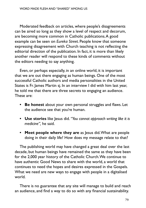Moderated feedback on articles, where people's disagreements can be aired so long as they show a level of respect and decorum, are becoming more common in Catholic publications. A good example can be seen on *Eureka Street*. People know that someone expressing disagreement with Church teaching is not reflecting the editorial direction of the publication. In fact, it is more than likely another reader will respond to these kinds of comments without the editors needing to say anything.

Even, or perhaps especially, in an online world, it is important that we are out there engaging as human beings. One of the most successful Catholic authors and media personalities in the United States is Fr. James Martin sj. In an interview I did with him last year, he told me that there are three secrets to engaging an audience. These are:

- **• Be honest** about your own personal struggles and flaws. Let the audience see that you're human.
- **• Use stories** like Jesus did. *"You cannot approach writing like it is medicine",* he said.
- **• Meet people where they are** as Jesus did. What are people doing in their daily life? How does my message relate to that?

The publishing world may have changed a great deal over the last decade, but human beings have remained the same as they have been for the 2,000 year history of the Catholic Church. We continue to have authentic Good News to share with the world, a world that continues to need the hopes and desires expressed in the Gospels. What we need are new ways to engage with people in a digitalised world.

There is no guarantee that any site will manage to build and reach an audience, and find a way to do so with any financial sustainability.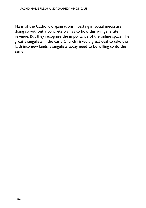Many of the Catholic organisations investing in social media are doing so without a concrete plan as to how this will generate revenue. But they recognise the importance of the online space. The great evangelists in the early Church risked a great deal to take the faith into new lands. Evangelists today need to be willing to do the same.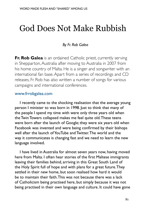# God Does Not Make Rubbish

## *By Fr. Rob Galea*

**Fr. Rob Galea** is an ordained Catholic priest, currently serving in Shepparton, Australia after moving to Australia in 2007 from his home country of Malta. He is a singer and songwriter with an international fan base. Apart from a series of recordings and CD releases, Fr. Rob has also written a number of songs for various campaigns and international conferences.

#### [www.frrobgalea.com](http://www.frrobgalea.com)

I recently came to the shocking realisation that the average young person I minister to was born in 1998. Just to think that many of the people I spend my time with were only three years old when the Twin Towers collapsed makes me feel quite old. These teens were born after the launch of Google; they were six years old when Facebook was invented and were being confirmed by their bishops well after the launch of YouTube and Twitter. The world and the way it communicates is changing fast and we need to learn the new language involved.

I have lived in Australia for almost seven years now, having moved here from Malta. I often hear stories of the first Maltese immigrants leaving their families behind, arriving in this Great South Land of the Holy Spirit full of hope and with plans for a great future. They settled in their new home, but soon realised how hard it would be to maintain their faith. This was not because there was a lack of Catholicism being practised here, but simply because it was not being practised in their own language and culture. It could have gone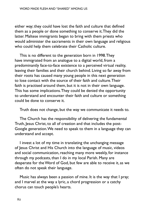either way; they could have lost the faith and culture that defined them as a people or done something to conserve it. They did the latter. Maltese immigrants began to bring with them priests who would administer the sacraments in their own language and religious who could help them celebrate their Catholic culture.

This is no different to the generation born in 1998. They have immigrated from an analogue to a digital world, from a predominantly face-to-face existence to a perceived virtual reality, leaving their families and their church behind. Living so far away from their roots has caused many young people in this next generation to lose contact with the source of their faith and culture. Their faith is practised around them, but it is not in their own language. This has some implications. They could be denied the opportunity to understand and encounter their faith and culture or something could be done to conserve it.

Truth does not change, but the way we communicate it needs to.

The Church has the responsibility of delivering the fundamental Truth, Jesus Christ, to all of creation and that includes the post-Google generation. We need to speak to them in a language they can understand and accept.

I invest a lot of my time in translating the unchanging message of Jesus Christ and His Church into the language of music, videos and social communication, reaching many more weekly, for instance through my podcasts, than I do in my local Parish. Many are desperate for the Word of God, but few are able to receive it, as we often do not speak their language.

Music has always been a passion of mine. It is the way that I pray; and I marvel at the way a lyric, a chord progression or a catchy chorus can touch people's hearts.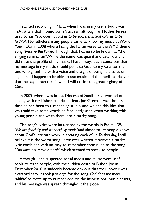I started recording in Malta when I was in my teens, but it was in Australia that I found some 'success', although, as Mother Teresa used to say, *'God does not call us to be successful, God calls us to be faithful'*. Nonetheless, many people came to know my music at World Youth Day in 2008 where I sang the Italian verse to the WYD theme song, *'Receive the Power.'* Through that, I came to be known as "the singing seminarian". While the name was quaint and catchy, and it did raise the profile of my music, I have always been conscious that my message in my music should point to God, to my Creator, the one who gifted me with a voice and the gift of being able to strum a guitar. If I happen to be able to use music and the media to deliver that message, then that is what I will do, for the greater glory of God.

In 2009, when I was in the Diocese of Sandhurst, I worked on a song with my bishop and dear friend, Joe Grech. It was the first time he had been to a recording studio, and we had this idea that we could take some words he frequently used when working with young people and write them into a catchy song.

The song's lyrics were influenced by the words in Psalm 139, *'We are fearfully and wonderfully made'* and aimed to let people know about God's intricate work in creating each of us. To this day, I still believe it is the worst song I have ever written. However, a catchy lyric combined with an easy-to-remember chorus led to the song *'God does not make rubbish,'* which seemed to speak to people.

Although I had suspected social media and music were useful tools to reach people, with the sudden death of Bishop Joe in December 2010, it suddenly became obvious that their power was extraordinary. It took just days for the song *'God does not make rubbish'* to move up to number one on the inspirational music charts, and his message was spread throughout the globe.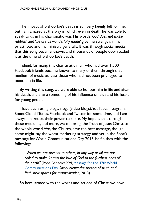The impact of Bishop Joe's death is still very keenly felt for me, but I am amazed at the way in which, even in death, he was able to speak to us in his charismatic way. His words *'God does not make rubbish'* and *'we are all wonderfully made'* give me strength, in my priesthood and my ministry generally. It was through social media that this song became known, and thousands of people downloaded it at the time of Bishop Joe's death.

Indeed, for many, this charismatic man, who had over 1,500 Facebook friends became known to many of them through that medium of music, at least those who had not been privileged to meet him in life.

By writing this song, we were able to honour him in life and after his death, and share something of his influence of faith and his heart for young people.

I have been using blogs, vlogs (video blogs), YouTube, Instagram, SoundCloud, iTunes, Facebook and Twitter for some time, and I am always amazed at their power to share. My hope is that through these mediums, and more, we can bring the Truth of Jesus Christ to the whole world. We, the Church, have the best message, though some might say the worst marketing strategy, and yet in the Pope's message for World Communications Day 2013, he finishes with the following:

*"When we are present to others, in any way at all, we are called to make known the love of God to the furthest ends of the earth"* (Pope Benedict XVI, [Message for the 47th World](http://www.vatican.va/holy_father/benedict_xvi/messages/communications/documents/hf_ben-xvi_mes_20130124_47th-world-communications-day_en.html)  [Communications Day,](http://www.vatican.va/holy_father/benedict_xvi/messages/communications/documents/hf_ben-xvi_mes_20130124_47th-world-communications-day_en.html) *Social Networks: portals of truth and faith; new spaces for evangelization,* 2013).

So here, armed with the words and actions of Christ, we now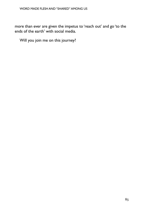more than ever are given the impetus to 'reach out' and go 'to the ends of the earth' with social media.

Will you join me on this journey?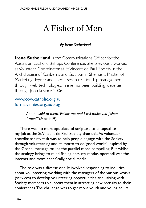# A Fisher of Men

## *By Irene Sutherland*

**Irene Sutherland** is the Communications Officer for the Australian Catholic Bishops Conference. She previously worked as Volunteer Coordinator at St Vincent de Paul Society in the Archdiocese of Canberra and Goulburn. She has a Master of Marketing degree and specialises in relationship management through web technologies. Irene has been building websites through Joomla since 2006.

[www.opw.catholic.org.au](http://www.opw.catholic.org.au) [forms.vinnies.org.au/blog](http://forms.vinnies.org.au/blog)

> *"And he said to them, 'Follow me and I will make you fishers of men'"* (*Matt* 4:19).

There was no more apt piece of scripture to encapsulate my job at the St Vincent de Paul Society than this. As volunteer coordinator, my task was to help people engage with the Society through volunteering and its motto to do 'good works' inspired by the Gospel message makes the parallel more compelling. But whilst the analogy brings to mind fishing nets, my modus operandi was the internet and more specifically, social media.

The role was a diverse one. It involved responding to inquiries about volunteering, working with the managers of the various works (services) to develop volunteering opportunities and liaising with Society members to support them in attracting new recruits to their conferences. The challenge was to get more youth and young adults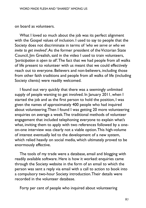on board as volunteers.

What I loved so much about the job was its perfect alignment with the Gospel values of inclusion. I used to say to people that the Society does not discriminate in terms of *'who we serve or who we invite to get involved'*. As the former president of the Victorian State Council, Jim Grealish, said in the video I used to train volunteers, *'participation is open to all'*. The fact that we had people from all walks of life present to volunteer with us meant that we could effectively reach out to everyone. Believers and non-believers, including those from other faith traditions and people from all walks of life (including Society clients) were readily welcomed.

I found out very quickly that there was a seemingly unlimited supply of people wanting to get involved. In January 2011, when I started the job and as the first person to hold the position, I was given the names of approximately 400 people who had inquired about volunteering. Then I found I was getting 20 more volunteering enquiries on average a week. The traditional methods of volunteer engagement that included telephoning everyone to explain what's what, inviting them to apply with two references followed by a oneon-one interview was clearly not a viable option. This high-volume of interest eventually led to the development of a new system, which relied heavily on social media, which ultimately proved to be enormously effective.

The tools of my trade were a database, email and blogging with readily available software. Here is how it worked: enquiries came through the Society website in the form of an email to which the person was sent a reply via email with a call to action to book into a compulsory two-hour Society introduction. Their details were recorded in the volunteer database.

Forty per cent of people who inquired about volunteering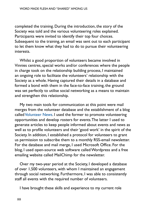completed the training. During the introduction, the story of the Society was told and the various volunteering roles explained. Participants were invited to identify their top four choices. Subsequent to the training, an email was sent out to each participant to let them know what they had to do to pursue their volunteering interests.

Whilst a good proportion of volunteers became involved in Vinnies centres, special works and/or conferences where the people in charge took on the relationship building process, I maintained an ongoing role to facilitate the volunteers' relationship with the Society as a whole. Having captured their details in a database and formed a bond with them in the face-to-face training, the ground was set perfectly to utilise social networking as a means to maintain and strengthen this relationship.

My two main tools for communication at this point were mail merges from the volunteer database and the establishment of a blog called [Volunteer News.](http://forms.vinnies.org.au/blog/) I used the former to promote volunteering opportunities and develop rosters for events. The latter I used to generate articles to keep people informed about events and news as well as to profile volunteers and their 'good work' in the spirit of the Society. In addition, I established a protocol for volunteers to grant us permission to subscribe them to a monthly RSS-email newsletter. For the database and mail merge, I used Microsoft Office. For the blog, I used open-source web software called Wordpress and a free emailing website called MailChimp for the newsletter.

Over my two-year period at the Society, I developed a database of over 1,500 volunteers, with whom I maintained an engagement through social networking. Furthermore, I was able to consistently staff all events with the required number of volunteers.

I have brought these skills and experience to my current role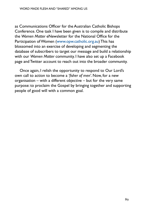as Communications Officer for the Australian Catholic Bishops Conference. One task I have been given is to compile and distribute the *Women Matter* eNewsletter for the National Office for the Participation of Women [\(www.opw.catholic.org.au](http://www.opw.catholic.org.au)) This has blossomed into an exercise of developing and segmenting the database of subscribers to target our message and build a relationship with our *Women Matter* community. I have also set up a Facebook page and Twitter account to reach out into the broader community.

Once again, I relish the opportunity to respond to Our Lord's own call to action to become a *'fisher of men'*. Now, for a new organisation – with a different objective – but for the very same purpose: to proclaim the Gospel by bringing together and supporting people of good will with a common goal.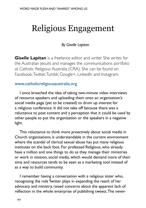# Religious Engagement

## *By Giselle Lapitan*

**Giselle Lapitan** is a freelance editor and writer. She writes for the Australian Jesuits and manages the communications portfolio at Catholic Religious Australia (CRA). She can be found on Facebook, Twitter, Tumblr, Google+, LinkedIn and Instagram.

#### [www.catholicreligiousaustralia.org](http://www.catholicreligiousaustralia.org)

I once broached the idea of taking two-minute video interviews of resource speakers and uploading them onto an organisation's social media page (yet to be created) to drum up interest for a religious conference. It did not take off because there was a reluctance to post content and a perception that it could be used by other people to put the organisation or the speakers in a negative light.

This reluctance to think more proactively about social media in Church organisations is understandable in the current environment where the scandal of clerical sexual abuse has put many religious institutes on the back foot. For professed Religious, who already have a million and one things to do as they manage their ministries or work in mission, social media, which would demand more of their time and resources tends to be seen as a marketing tool instead of as a way to build community.

I remember having a conversation with a religious sister who, recognising the role Twitter plays in expanding the reach of her advocacy and ministry, raised concerns about the apparent lack of reflection in the whole enterprise of publishing tweets. The never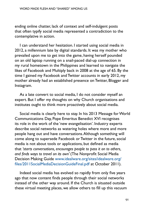ending online chatter, lack of context and self-indulgent posts that often typify social media represented a contradiction to the contemplative in action.

I can understand her hesitation. I started using social media in 2012, a millennium late by digital standards. It was my mother who prevailed upon me to get into the game, having herself pounded on an old laptop running on a snail-paced dial-up connection in my rural hometown in the Philippines and learned to navigate the likes of Facebook and Multiply back in 2008 at the age of 65. By the time I gained my Facebook and Twitter accounts in early 2012, my mother already had an established presence on Twitter, Blogger and Instagram.

As a late convert to social media, I do not consider myself an expert. But I offer my thoughts on why Church organisations and institutes ought to think more proactively about social media.

Social media is clearly here to stay. In his 2013 Message for World Communications Day, Pope Emeritus Benedict XVI recognises its role in the work of the 'new evangelisation'. Industry experts describe social networks as watering holes where more and more people hang out and have conversations. Although something will come along to supersede Facebook or Twitter in the future, social media is not about tools or applications, but defined as media that *'starts conversations, encourages people to pass it on to others, and finds ways to travel on its own'* (The [Nonprofit Social Media](http://idealware.org/sites/idealware.org/files/2011SocialMediaDecisionGuideFinal.pdf)  [Decision Making Guide www.idealware.org/sites/idealware.org/](http://idealware.org/sites/idealware.org/files/2011SocialMediaDecisionGuideFinal.pdf) [files/2011SocialMediaDecisionGuideFinal.pdf](http://idealware.org/sites/idealware.org/files/2011SocialMediaDecisionGuideFinal.pdf) at October 2011).

Indeed social media has evolved so rapidly from only five years ago that now content finds people through their social networks instead of the other way around. If the Church is situated outside these virtual meeting places, we allow others to fill up this vacuum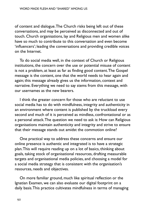of content and dialogue. The Church risks being left out of these conversations, and may be perceived as disconnected and out of touch. Church organisations, lay and Religious men and women alike have so much to contribute to this conversation and even become 'influencers'; leading the conversations and providing credible voices on the Internet.

To do social media well, in the context of Church or Religious institutions, the concern over the use or potential misuse of content is not a problem, at least as far as finding good content. The Gospel message is the content, one that the world needs to hear again and again; this message already gives us the information, context and narrative. Everything we need to say stems from this message, with our usernames as the new bearers.

I think the greater concern for those who are reluctant to use social media has to do with mindfulness, integrity and authenticity in an environment where content is published by the truckload every second and much of it is perceived as mindless, confrontational or as a personal attack. The question we need to ask is: How can Religious organisations maintain authenticity and integrity and strive to ensure that their message stands out amidst the commotion online?

One practical way to address these concerns and ensure our online presence is authentic and integrated is to have a strategic plan. This will require reading up on a lot of basics, thinking about goals, taking stock of organisational resources, drafting measurable targets and organisational media policies, and choosing a model for a social media strategy that is consistent with the organisation's resources, needs and objectives.

On more familiar ground, much like spiritual reflection or the Ignatian Examen, we can also evaluate our digital footprint on a daily basis. This practice cultivates mindfulness in terms of managing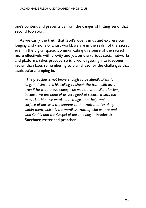one's content and prevents us from the danger of hitting 'send' that second too soon.

As we carry the truth that God's love is in us and express our longing and visions of a just world, we are in the realm of the sacred, even in the digital space. Communicating this sense of the sacred more effectively, with brevity and joy, on the various social networks and platforms takes practice, so it is worth getting into it sooner rather than later, remembering to plan ahead for the challenges that await before jumping in.

*"The preacher is not brave enough to be literally silent for long, and since it is his calling to speak the truth with love, even if he were brave enough, he would not be silent for long because we are none of us very good at silence. It says too much. Let him use words and images that help make the surface of our lives transparent to the truth that lies deep within them, which is the wordless truth of who we are and who God is and the Gospel of our meeting."* - Frederick Buechner, writer and preacher.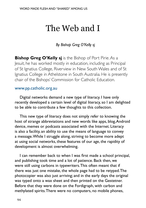## The Web and I

*By Bishop Greg O'Kelly sj*

**Bishop Greg O'Kelly si** is the Bishop of Port Pirie. As a Jesuit, he has worked mostly in education, including as Principal of St Ignatius College, Riverview in New South Wales and of St Ignatius College in Athelstone in South Australia. He is presently chair of the Bishops' Commission for Catholic Education.

#### [www.pp.catholic.org.au](http://www.pp.catholic.org.au)

Digital networks demand a new type of literacy. I have only recently developed a certain level of digital literacy, so I am delighted to be able to contribute a few thoughts to this collection.

This new type of literacy does not simply refer to knowing the host of strange abbreviations and new words like apps, blog, Android device, memes or podcasts associated with the Internet. Literacy is also a facility, an ability to use the means of language to convey a message. While I struggle along, striving to become more adept at using social networks, these features of our age, the rapidity of development is almost overwhelming.

I can remember back to when I was first made a school principal, and publishing took time and a lot of patience. Back then, we were still using carbons in typewriters. This often meant that if there was just one mistake, the whole page had to be retyped. The photocopier was also just arriving; and in the early days the original was typed onto a wax sheet and then printed on the Gestetner. Before that they were done on the Fordigraph, with carbon and methylated spirits. There were no computers, no mobile phones,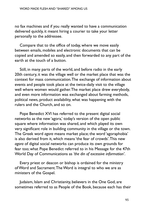no fax machines and if you really wanted to have a communication delivered quickly, it meant hiring a courier to take your letter personally to the addressee.

Compare that to the office of today, where we move easily between emails, mobiles and electronic documents that can be copied and amended so easily, and then forwarded to any part of the earth at the touch of a button.

Still, in many parts of the world, and before radio in the early 20th century, it was the village well or the market place that was the context for mass communication. The exchange of information about events and people took place at the twice-daily visit to the village well where women would gather. The market place drew everybody, and even more information was exchanged about farming methods, political news, product availability, what was happening with the rulers and the Church, and so on.

Pope Benedict XVI has referred to the present digital social networks as the new 'agora,' today's version of the open public square where information was shared, and which played its own very significant role in building community in the village or the town. The Greek word *agora* means market place; the word 'agoraphobia' is also derived from it, which means 'the fear of crowds'. This new *agora* of digital social networks can produce its own grounds for fear too; what Pope Benedict referred to in his Message for the 47th World Day of Communications as *'the din of excessive information'*.

Every priest or deacon or bishop is ordained for the ministry of Word and Sacrament. The Word is integral to who we are as ministers of the Gospel.

Judaism, Islam and Christianity, believers in the One God, are sometimes referred to as People of the Book, because each has their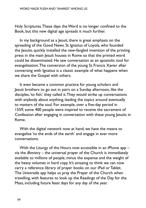Holy Scriptures. These days the Word is no longer confined to the Book, but this new digital age spreads it much further.

In my background as a Jesuit, there is great emphasis on the spreading of the Good News. St Ignatius of Loyola, who founded the Jesuits, quickly installed the new-fangled invention of the printing press in the main Jesuit houses in Rome so that the printed word could be disseminated. He saw conversation as an apostolic tool for evangelisation. The conversion of the young St Francis Xavier after conversing with Ignatius is a classic example of what happens when we share the Gospel with others.

It even became a common practice for young scholars and Jesuit brothers to go out in pairs on a Sunday afternoon, like the disciples, 'to fish,' they called it. They would strike up conversations with anybody about anything, leading the topics around eventually to matters of the soul. For example, over a five-day period in 1559, some 400 people were inspired to receive the sacrament of Confession after engaging in conversation with these young Jesuits in Rome.

With the digital network now at hand, we have the means to evangelise 'to the ends of the earth' and engage in ever more conversations.

With the Liturgy of the Hours now accessible in an iPhone app – via the *iBreviary* – the universal prayer of the Church is immediately available to millions of people, minus the expense and the weight of the heavy volumes in hard copy. It's amazing to think we can now carry a reference library of prayer books on our iPad or Tablet. The *Universalis* app helps us pray the Prayer of the Church when travelling, with features to look up the Readings of the Day for the Mass, including future feast days for any day of the year.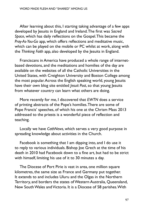After learning about this, I starting taking advantage of a few apps developed by Jesuits in England and Ireland. The first was *Sacred Space*, which has daily reflections on the Gospel. This became the *Pray-As-You-Go* app, which offers reflections and meditative music, which can be played on the mobile or PC whilst at work, along with the *Thinking Faith* app, also developed by the Jesuits in England.

Franciscans in America have produced a whole range of internetbased devotions, and the meditations and homilies of the day are available on the websites of all the Catholic Universities in the United States, with Creighton University and Boston College among the most popular. Across the English speaking world, young Jesuits have their own blog site entitled *Jesuit Post*, so that young Jesuits from whatever country can learn what others are doing.

More recently for me, I discovered that *EWTN* does a service of printing abstracts of the Pope's homilies. There are some of Pope Francis' speeches, of which his one at the Chrism Mass 2013 addressed to the priests is a wonderful piece of reflection and teaching.

Locally we have *CathNews*, which serves a very good purpose in spreading knowledge about activities in the Church.

Facebook is something that I am dipping into, and I do use it to reply to various individuals. Bishop Joe Grech at the time of his death in 2010 had Facebook down to a fine art, but had to be strict with himself, limiting his use of it to 30 minutes a day.

The Diocese of Port Pirie is vast in area, one million square kilometres, the same size as France and Germany put together. It extends to and includes Uluru and the Olgas in the Northern Territory, and borders the states of Western Australia, Queensland, New South Wales and Victoria. It is a Diocese of 58 parishes. With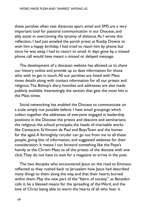these parishes often vast distances apart, email and SMS are a very important tool for pastoral communication in our Diocese, and ably assist in overcoming the tyranny of distance. As I wrote this reflection, I had just emailed the parish priest at Roxby Downs to wish him a happy birthday. I had tried to reach him by phone but since he was away, I had to resort to email. In days gone by, a missed phone call would have meant a missed or delayed message.

The development of a diocesan website has allowed us to share our history online and provide up to date information for those who wish to get in touch. All our parishes are listed with Mass times details along with contact information for all our priests and religious. The Bishop's diary, homilies and addresses are also made publicly available. Interestingly, the section that gets the most hits is the Mass times.

Social networking has enabled the Diocese to communicate on a scale simply not possible before. I have email groupings which collect together the addresses of everyone engaged in leadership positions in the Diocese; the priests and deacons and seminarians; the religious; the school principals; the heads of charitable works like Centacare, St Vincent de Paul and BoysTown and the homes for the aged. A fortnightly circular can go out from me to all these people, giving bits of information, and suggested websites for their consideration. It means I can forward something like the Pope's homily at the Chrism Mass to all the priests of the diocese with one click. They do not have to wait for a magazine to arrive in the post.

The two disciples who encountered Jesus on the road to Emmaus reflected as they rushed back to Jerusalem how Jesus had described many things to them along the way, and that their hearts burned within them. May the new part of the "fabric of society", as Benedict calls it, be a blessed means for the spreading of the Word, and the love of Christ being able to warm the hearts of all who hear it.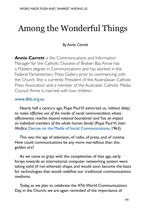# Among the Wonderful Things

## *By Annie Carrett*

**Annie Carrett** is the Communications and Information Manager for the Catholic Diocese of Broken Bay. Annie has a Masters degree in Communications and has worked in the Federal Parliamentary Press Gallery prior to commencing with the Church. She is currently President of the Australasian Catholic Press Association and a member of the Australian Catholic Media Council. Annie is married with two children.

#### [www.dbb.org.au](http://www.dbb.org.au)

Nearly half a century ago, Pope Paul VI exhorted us, *'without delay'*, to make *'effective use of the media of social communications whose effectiveness reaches beyond national boundaries'* and *'has an impact on individual members of the whole human family'* (Pope Paul VI, *Inter Mirifica*, [Decree on the Media of Social Communications,](http://www.vatican.va/archive/hist_councils/ii_vatican_council/documents/vat-ii_decree_19631204_inter-mirifica_en.html) 1963).

This was the age of television, of radio, of press, and of cinema. How could communications be any more marvellous than this golden era?

As we came to grips with the complexities of that age, early forays towards an international computer networking system were taking solid (if not ethereal) shape, and would soon become the basis for technologies that would redefine our traditional communications mediums.

Today, as we plan to celebrate the 47th World Communications Day in the Church, we are again reminded of the importance of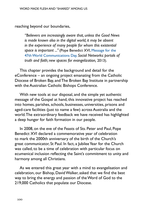reaching beyond our boundaries,

*"Believers are increasingly aware that, unless the Good News is made known also in the digital world, it may be absent in the experience of many people for whom this existential space is important ..."* (Pope Benedict XVI, [Message for the](http://www.vatican.va/holy_father/benedict_xvi/messages/communications/documents/hf_ben-xvi_mes_20130124_47th-world-communications-day_en.html)  [47th World Communications Day,](http://www.vatican.va/holy_father/benedict_xvi/messages/communications/documents/hf_ben-xvi_mes_20130124_47th-world-communications-day_en.html) *Social Networks: portals of truth and faith; new spaces for evangelization,* 2013).

This chapter provides the background and detail for the eConference – an ongoing project emanating from the Catholic Diocese of Broken Bay, and The Broken Bay Institute in partnership with the Australian Catholic Bishops Conference.

With new tools at our disposal, and the simple yet authentic message of the Gospel at hand, this innovative project has reached into homes, parishes, schools, businesses, universities, prisons and aged-care facilities (just to name a few) across Australia and the world. The extraordinary feedback we have received has highlighted a deep hunger for faith formation in our people.

In 2008, on the eve of the Feasts of Sts. Peter and Paul, Pope Benedict XVI declared a commemorative year of celebration to mark the 2000th anniversary of the birth of the Church's great communicator, St Paul. In fact, a Jubilee Year for the Church was called, to be a time of celebration with particular focus on ecumenical inclusion reflecting the Saint's commitment to unity and harmony among all Christians.

As we entered this great year with a mind to evangelisation and celebration, our Bishop, David Walker, asked that we find the best way to bring the energy and passion of the Word of God to the 219,000 Catholics that populate our Diocese.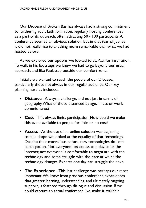Our Diocese of Broken Bay has always had a strong commitment to furthering adult faith formation, regularly hosting conferences as a part of its outreach, often attracting 50 - 100 participants. A conference seemed an obvious solution, but in that Year of Jubilee, it did not really rise to anything more remarkable than what we had hosted before.

As we explored our options, we looked to St. Paul for inspiration. To walk in his footsteps we knew we had to go beyond our usual approach, and like Paul, step outside our comfort zone.

Initially we wanted to reach the people of our Diocese, particularly those not always in our regular audience. Our key planning hurdles included:

- **• Distance** Always a challenge, and not just in terms of geography. What of those distanced by age, illness or work commitments?
- **• Cost** This always limits participation. How could we make this event available to people for little or no cost?
- **• Access** As the use of an online solution was beginning to take shape we looked at the equality of that technology. Despite their marvellous nature, new technologies do limit participation. Not everyone has access to a device or the Internet; not everyone is comfortable to negotiate with the technology and some struggle with the pace at which the technology changes. Experts one day can struggle the next.
- **• The Experience** This last challenge was perhaps our most important. We knew from previous conference experiences that greater learning, understanding, and ultimately ongoing support, is fostered through dialogue and discussion. If we could capture an actual conference live, make it available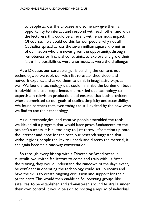to people across the Diocese and somehow give them an opportunity to interact and respond with each other, and with the lecturers, this could be an event with enormous impact. Of course, if we could do this for our people, why not all Catholics spread across the seven million square kilometres of our nation who are never given the opportunity, through remoteness or financial constraints, to explore and grow their faith? The possibilities were enormous, as were the challenges.

As a Diocese, our core strength is building the content, not technology, so we took our wish list to established video and network experts, and asked them to think in imaginative ways as well. We found a technology that could minimise the burden on both bandwidth and user experience, and married this technology to expertise in television production and ensured that both providers where committed to our goals of quality, simplicity and accessibility. We found partners that, even today, are still excited by the new ways we find to use their technology.

As our technological and creative people assembled the tools, we kicked off a program that would later prove fundamental to the project's success. It is all too easy to just throw information up onto the Internet and hope for the best, our research suggested that without giving people the key to unpack and discern the material, it can again become a one-way conversation.

So through every bishop with a Diocese or Archdiocese in Australia, we invited facilitators to come and train with us. After the training, they would understand the rundown of the day's event, be confident in operating the technology, could set up rooms and have the skills to create ongoing discussion and support for their participants. This would then enable self-supporting groups, like satellites, to be established and administered around Australia. under their own control. It would be akin to hosting a myriad of individual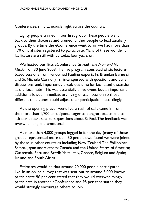Conferences, simultaneously right across the country.

Eighty people trained in our first group. These people went back to their dioceses and trained further people to lead auxiliary groups. By the time the eConference went to air, we had more than 170 official sites registered to participate. Many of these wonderful facilitators are still with us today, four years on.

We hosted our first eConference, *St Paul - the Man and his Mission*, on 30 June 2009. The live program consisted of six lecturebased sessions from renowned Pauline experts Fr. Brendan Byrne sj and Sr. Michele Connolly rsj, interspersed with questions and panel discussions, and, importantly break-out time for facilitated discussion at the local hubs. This was essentially a live event, but an important addition allowed immediate archiving of each session so those in different time zones could adjust their participation accordingly.

As the opening prayer went live, a rush of calls came in from the more than 1,700 participants eager to congratulate us and to ask our expert speakers questions about St Paul. The feedback was overwhelming and emotional.

As more than 4,000 groups logged in for the day (many of those groups represented more than 50 people), we found we were joined by those in other countries including New Zealand, The Philippines, Samoa, Japan and Vietnam; Canada and the United States of America; Guatemala, Peru and Brazil; Malta, Italy, Greece, Belgium and Spain; Ireland and South Africa.

Estimates would be that around 20,000 people participated live. In an online survey that was sent out to around 5,000 known participants: 96 per cent stated that they would overwhelmingly participate in another eConference and 95 per cent stated they would strongly encourage others to join.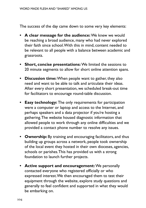The success of the day came down to some very key elements:

- **• A clear message for the audience:** We knew we would be reaching a broad audience, many who had never explored their faith since school. With this in mind, content needed to be relevant to all people with a balance between academic and grassroots.
- **• Short, concise presentations:** We limited the sessions to 20 minute segments to allow for short online attention spans.
- **• Discussion time:** When people want to gather, they also need and want to be able to talk and articulate their ideas. After every short presentation, we scheduled break-out time for facilitators to encourage round-table discussion.
- **• Easy technology:** The only requirements for participation were a computer or laptop and access to the Internet, and perhaps speakers and a data projector if you're hosting a gathering. The website housed diagnostic information that allowed people to work through any online difficulties and we provided a contact phone number to resolve any issues.
- **Ownership:** By training and encouraging facilitators, and thus building up groups across a network, people took ownership of the local event they hosted in their own dioceses, agencies, schools or parishes. This has provided us with a strong foundation to launch further projects.
- **• Active support and encouragement:** We personally contacted everyone who registered officially or who expressed interest. We then encouraged them to test their equipment through the website, explore study questions and generally to feel confident and supported in what they would be embarking on.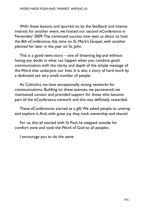With these lessons, and spurred on by the feedback and intense interest for another event, we hosted our second eConference in November 2009. The continued success now sees us about to host the 8th eConference, this time on St. Mark's Gospel, with another planned for later in the year on St. John.

This is a good news story – one of dreaming big and without having any doubt in what can happen when you combine good communication with the clarity and depth of the simple message of the Word that underpins our lives. It is also a story of hard work by a dedicated yet very small, number of people.

As Catholics, we have exceptionally strong networks for communications. Building on these avenues, we persevered, we maintained contact and provided support for those who became part of the eConference network and this was definitely rewarded.

These eConferences started as a gift. We asked people to unwrap and explore it. And, with great joy they took ownership and shared.

For us, this all started with St Paul; he stepped outside his comfort zone and took the Word of God to all peoples.

I encourage you to do the same.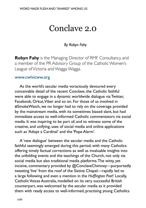## Conclave 2.0

*By Robyn Fahy*

**Robyn Fahy** is the Managing Director of RMF Consultancy, and a member of the PR Advisory Group of the Catholic Women's League of Victoria and Wagga Wagga.

#### [www.cwlvicww.org](http://www.cwlvicww.org)

As the world's secular media voraciously devoured every conceivable detail of the recent Conclave, the Catholic faithful were able to engage in a dynamic worldwide dialogue via Twitter, Facebook, Orkut, Viber and so on. For those of us involved in #SmokeWatch, we no longer had to rely on the coverage provided by the mainstream media, with its sometimes biased slant, but had immediate access to well-informed Catholic commentators via social media. It was inspiring to be part of, and to witness some of the creative, and unifying, uses of social media and online applications such as 'Adopt a Cardinal' and the 'Pope Alarm'.

A 'new dialogue' between the secular media and the Catholic faithful seemingly emerged during this period, with many Catholics offering timely factual corrections as well as invaluable insights into the unfolding events and the teachings of the Church, not only via social media but also traditional media platforms. The witty, yet incisive, commentary provided by @ConclaveChimney—purportedly tweeting 'live' from the roof of the Sistine Chapel—rapidly led to a large following and even a mention in the *Huffington Post*! Locally, Catholic Voices Australia, modelled on its very successful British counterpart, was welcomed by the secular media as it provided them with ready access to well-informed, practising young Catholics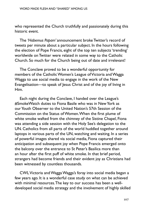who represented the Church truthfully and passionately during this historic event.

The *'Habemus Papam'* announcement broke Twitter's record of tweets per minute about a particular subject. In the hours following the election of Pope Francis, eight of the top ten subjects 'trending' worldwide on Twitter were related in some way to the Catholic Church. So much for the Church being out of date and irrelevant!

The Conclave proved to be a wonderful opportunity for members of the Catholic Women's League of Victoria and Wagga Wagga to use social media to engage in the work of the New Evangelisation—to speak of Jesus Christ and of the joy of living in Him.

Each night during the Conclave, I handed over the League's #SmokeWatch duties to Fiona Basile who was in New York as our Youth Observer to the United Nation's 57th Session of the Commission on the Status of Women. When the first plume of white smoke wafted from the chimney of the Sistine Chapel, Fiona was attending a side session with the Holy See's delegation to the UN. Catholics from all parts of the world huddled together around laptops in various parts of the UN, watching and waiting. In a series of powerful images shared via social media, Fiona captured their anticipation and subsequent joy when Pope Francis emerged onto the balcony over the entrance to St Peter's Basilica more than an hour after the first puff of white smoke. In that brief period, strangers had become friends and their evident joy as Christians had been witnessed by countless thousands.

CWL Victoria and Wagga Wagga's foray into social media began a few years ago. It is a wonderful case study on what can be achieved with minimal resources. The key to our success has been a welldeveloped social media strategy and the involvement of highly skilled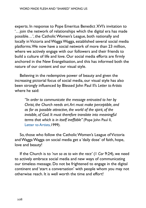experts. In response to Pope Emeritus Benedict XVI's invitation to '…join the network of relationships which the digital era has made possible…', the Catholic Women's League, both nationally and locally in Victoria and Wagga Wagga, established several social media platforms. We now have a social network of more than 23 million, where we actively engage with our followers and their friends to build a culture of life and love. Our social media efforts are firmly anchored in the New Evangelisation, and this has informed both the nature of our content and our visual style.

Believing in the redemptive power of beauty and given the increasing pictorial focus of social media, our visual style has also been strongly influenced by Blessed John Paul II's *Letter to Artists* where he said:

*"In order to communicate the message entrusted to her by Christ, the Church needs art. Art must make perceptible, and as far as possible attractive, the world of the spirit, of the invisible, of God. It must therefore translate into meaningful terms that which is in itself ineffable" (*Pope John Paul II, [Letter to Artists](http://www.vatican.va/holy_father/john_paul_ii/letters/documents/hf_jp-ii_let_23041999_artists_en.html),1999).

So, those who follow the Catholic Women's League of Victoria and Wagga Wagga on social media get a 'daily dose' of faith, hope, love and beauty!

If the Church is to *'run so as to win the race'* (1 *Cor* 9:24), we need to actively embrace social media and new ways of communicating our timeless message. Do not be frightened to engage in the digital continent and 'start a conversation' with people whom you may not otherwise reach. It is well worth the time and effort!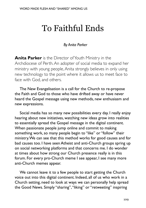### To Faithful Ends

#### *By Anita Parker*

**Anita Parker** is the Director of Youth Ministry in the Archdiocese of Perth. An adopter of social media to expand her ministry with young people, Anita strongly believes in only using new technology to the point where it allows us to meet face to face with God, and others.

The New Evangelisation is a call for the Church to re-propose the Faith and God to those who have drifted away or have never heard the Gospel message using new methods, new enthusiasm and new expressions.

Social media has so many new possibilities every day. I really enjoy hearing about new initiatives, watching new ideas grow into realities to essentially spread the Gospel message in the digital continent. When passionate people jump online and commit to making something work, so many people begin to "like" or "follow" their ministry. We can see that this method works for good causes and for bad causes too. I have seen Atheist and anti-Church groups spring up on social networking platforms and that concerns me. I do wonder at times about how strong our Church presence really is in this forum. For every pro-Church meme I see appear, I see many more anti-Church memes appear.

We cannot leave it to a few people to start getting the Church voice out into this digital continent. Indeed, all of us who work in a Church setting, need to look at ways we can personally help spread the Good News. Simply "sharing", "liking" or "retweeting" inspiring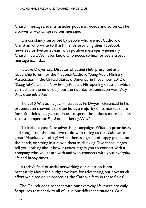Church messages, events, articles, podcasts, videos and so on can be a powerful way to spread our message.

I am constantly surprised by people who are not Catholic or Christian who write to thank me for providing their Facebook newsfeed or Twitter stream with positive messages – generally Church news. We never know who needs to hear or see a Gospel message each day.

Fr. Dave Dwyer csp, Director of *Busted Halo*, presented at a leadership forum for the National Catholic Young Adult Ministry Association in the United States of America, in November 2012 on *'Young Adults and the New Evangelization'.* His opening question which carried as a theme throughout the two-day presentation was *'Why does Coke advertise?'*

The 2010 *Wall Street Journal* statistics Fr. Dwyer referenced in his presentation showed that *Coke* holds a majority of its market share for soft drink sales, yet continues to spend three times more than its closest competitor *Pepsi* on marketing. Why?

Think about past *Coke* advertising campaigns: What do polar bears and songs from the past have to do with telling us that *Coke* tastes great? Absolutely nothing! When there's a group of happy people on the beach, or sitting in a movie theatre, drinking *Coke* these images tell you nothing about how it tastes, it gets you to connect with a company who you relate with and who connects with your everyday life and happy times.

In today's field of social networking our question is not necessarily about the budget we have for advertising, but how much effort we place on re-proposing the Catholic faith in these fields?

The Church does connect with our everyday life, there are daily Scriptures that speak to all of us in our different situations. Our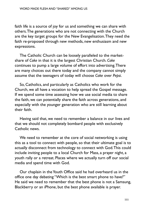faith life is a source of joy for us and something we can share with others. The generations who are not connecting with the Church are the key target groups for the New Evangelisation. They need the faith re-proposed through new methods, new enthusiasm and new expressions.

The Catholic Church can be loosely paralleled to the marketshare of *Coke* in that it is the largest Christian Church. *Coke* continues to pump a large volume of effort into advertising. There are many choices out there today and the company cannot simply assume that the teenagers of today will choose *Coke* over *Pepsi*.

So, Catholics, and particularly as Catholics who work for the Church, we all have a vocation to help spread the Gospel message. If we spend some time assessing how we use social media to share the faith, we can potentially share the faith across generations, and especially with the younger generation who are still learning about their faith.

Having said that, we need to remember a balance in our lives and that we should not completely bombard people with exclusively Catholic news.

We need to remember at the core of social networking is using this as a tool to connect with people, so that their ultimate goal is to actually disconnect from technology to connect with God. This could include inviting people to a local Church for Mass, a prayer night, a youth rally or a retreat. Places where we actually turn off our social media and spend time with God.

Our chaplain in the Youth Office said he had overheard us in the office one day debating "Which is the best smart phone to have?" He said we need to remember that the best phone is not a Samsung, Blackberry or an iPhone, but the best phone available is prayer.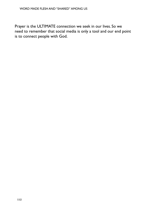Prayer is the ULTIMATE connection we seek in our lives. So we need to remember that social media is only a tool and our end point is to connect people with God.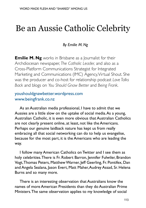### Be an Aussie Catholic Celebrity

#### *By Emilie M. Ng*

**Emilie M. Ng** works in Brisbane as a Journalist for their Archdiocesan newspaper, *The Catholic Leader,* and also as a Cross-Platform Communications Strategist for Integrated Marketing and Communications (IMC) Agency, Virtual Shout. She was the producer and co-host for relationship podcast *Love Talks Back* and blogs on *You Should Gnaw Better* and *Being Frank*.

#### [youshouldgnawbetter.wordpress.com](http://youshouldgnawbetter.wordpress.com/) [www.beingfrank.co.nz](http://www.beingfrank.co.nz)

As an Australian media professional, I have to admit that we Aussies are a little slow on the uptake of social media. As a young, Australian Catholic, it is even more obvious that Australian Catholics are not clearly present online, at least, not like the Americans. Perhaps our genuine laidback nature has kept us from really embracing all that social networking can do to help us evangelise, because for the most part, it is the Americans who are leading the way.

I follow many American Catholics on Twitter and I see them as holy celebrities. There is Fr. Robert Barron, Jennifer Fulwiler, Brandon Vogt, Thomas Peters, Matthew Warner, Jeff Geerling, Fr. Pontifex, Dan and Angela Sealana, Jason Evert, Matt Maher, Audrey Assad, Sr. Helena Burns and so many more.

There is an interesting observation that Australians know the names of more American Presidents than they do Australian Prime Ministers. The same observation applies to my knowledge of social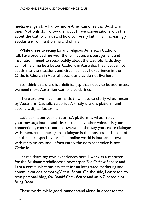media evangelists – I know more American ones than Australian ones. Not only do I know them, but I have conversations with them about the Catholic faith and how to live my faith in an increasingly secular environment online and offline.

While these tweeting lay and religious American Catholic folk have provided me with the formation, encouragement and inspiration I need to speak boldly about the Catholic faith, they cannot help me be a better Catholic in Australia. They just cannot speak into the situations and circumstances I experience in the Catholic Church in Australia because they do not live here.

So, I think that there is a definite gap that needs to be addressed: we need more Australian Catholic celebrities.

There are two media terms that I will use to clarify what I mean by 'Australian Catholic celebrities'. Firstly, there is platform, and secondly, digital footprint.

Let's talk about your platform. A platform is what makes your message louder and clearer than any other voice. It is your connections, contacts and followers; and the way you create dialogue with them, remembering that dialogue is the most essential part of social media especially for . The online world is loud and crowded with many voices, and unfortunately, the dominant voice is not Catholic.

Let me share my own experiences here. I work as a reporter for the Brisbane Archdiocesan newspaper, *The Catholic Leader*, and I am a communications assistant for an integrated marketing and communications company, Virtual Shout. On the side, I write for my own personal blog, *You Should Gnaw Better*, and an NZ-based blog, *Being Frank*.

These works, while good, cannot stand alone. In order for the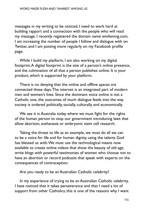messages in my writing to be noticed, I need to work hard at building rapport and a connection with the people who will read my message. I recently registered the domain name emiliemng.com, I am increasing the number of people I follow and dialogue with on Twitter, and I am posting more regularly on my Facebook profile page.

While I build my platform, I am also working on my digital footprint. A digital footprint is the size of a person's online presence, and the culmination of all that a person publishes online. It is your product, which is supported by your platform.

There is no denying that the online and offline spaces are connected these days. The internet is an integrated part of modern men and women's lives. Since the dominant voice online is not a Catholic one, the outcomes of much dialogue feeds into the way society is ordered politically, socially, culturally and economically.

We see it in Australia today where we must fight for the rights of the human person to stop our government introducing laws that allow abortion, euthanasia or embryonic stem cell research.

Taking the threat to life as an example, we must do all we can to be a voice for life and for human dignity, using the talents God has blessed us with. We must use the technological means now available to create online videos that show the beauty of old age, write blogs with powerful testimonies of women who choose not to have an abortion or record podcasts that speak with experts on the consequences of contraception.

Are you ready to be an Australian Catholic celebrity?

In my experience of trying to be an Australian Catholic celebrity, I have noticed that it takes perseverance and that I need a lot of support from other Catholics; this is one of the reasons why I want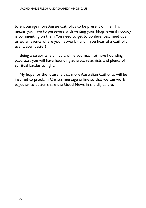to encourage more Aussie Catholics to be present online. This means, you have to persevere with writing your blogs, even if nobody is commenting on them. You need to get to conferences, meet ups or other events where you network - and if you hear of a Catholic event, even better!

Being a celebrity is difficult; while you may not have hounding paparazzi, you will have hounding atheists, relativists and plenty of spiritual battles to fight.

My hope for the future is that more Australian Catholics will be inspired to proclaim Christ's message online so that we can work together to better share the Good News in the digital era.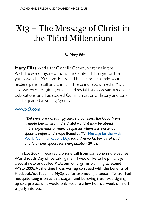### Xt3 – The Message of Christ in the Third Millennium

#### *By Mary Elias*

**Mary Elias** works for Catholic Communications in the Archdiocese of Sydney, and is the Content Manager for the youth website Xt3.com. Mary and her team help train youth leaders, parish staff and clergy in the use of social media. Mary also writes on religious, ethical and social issues on various online publications, and has studied Communications, History and Law at Macquarie University, Sydney.

#### [www.xt3.com](http://www.xt3.com/)

 *"Believers are increasingly aware that, unless the Good News is made known also in the digital world, it may be absent in the experience of many people for whom this existential space is important"* (Pope Benedict XVI, [Message for the 47th](http://www.vatican.va/holy_father/benedict_xvi/messages/communications/documents/hf_ben-xvi_mes_20130124_47th-world-communications-day_en.html)  [World Communications Day,](http://www.vatican.va/holy_father/benedict_xvi/messages/communications/documents/hf_ben-xvi_mes_20130124_47th-world-communications-day_en.html) *Social Networks: portals of truth and faith; new spaces for evangelization,* 2013).

In late 2007, I received a phone call from someone in the Sydney World Youth Day office, asking me if I would like to help manage a social network called Xt3.com for pilgrims planning to attend WYD 2008. At the time I was well up to speed with the benefits of Facebook, YouTube and MySpace for promoting a cause – Twitter had not quite caught on at that stage – and believing that I was signing up to a project that would only require a few hours a week online, I eagerly said yes.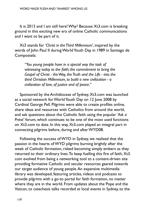It is 2013 and I am still here! Why? Because Xt3.com is breaking ground in this exciting new era of online Catholic communications and I want to be part of it.

Xt3 stands for *'Christ in the Third Millennium'*, inspired by the words of John Paul II during World Youth Day in 1989 in Santiago de Compostela:

*"You young people have in a special way the task of witnessing today to the faith; the commitment to bring the Gospel of Christ - the Way, the Truth and the Life - into the third Christian Millennium, to build a new civilization - a civilization of love, of justice and of peace."*

Sponsored by the Archdiocese of Sydney, Xt3.com was launched as a social network for World Youth Day on 12 June 2008 by Cardinal George Pell. Pilgrims were able to create profiles online, share ideas and resources with Catholics from around the world, and ask questions about the Catholic faith using the popular *'Ask a Priest'* forum, which continues to be one of the most used functions on Xt3.com to date. In this way, Xt3.com played an integral part in connecting pilgrims before, during and after WYD08.

Following the success of WYD in Sydney, we realised that the passion in the hearts of WYD pilgrims burning brightly after the week of Catholic formation, risked becoming simply embers as they returned to their ordinary lives. To keep fuelling this fire of faith, Xt3. com evolved from being a networking tool to a content-driven site providing formative Catholic and secular resources geared towards our target audience of young people. An expansive multimedia library was developed, featuring articles, videos and podcasts to provide pilgrims with a go-to portal for faith formation, no matter where they are in the world. From updates about the Pope and the Vatican, to catechesis talks recorded at local events in Sydney, to the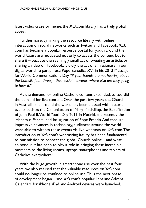latest video craze or meme, the Xt3.com library has a truly global appeal.

Furthermore, by linking the resource library with online interaction on social networks such as Twitter and Facebook, Xt3. com has become a popular resource portal for youth around the world. Users are motivated not only to access the content, but to share it – because the seemingly small act of tweeting an article, or sharing a video on Facebook, is truly the act of a missionary in our digital world. To paraphrase Pope Benedict XVI in his 2013 Message for World Communications Day, *"if your friends are not hearing about the Catholic faith through their social networks, where else are they going to hear it?"*

As the demand for online Catholic content expanded, so too did the demand for live content. Over the past few years the Church in Australia and around the world has been blessed with historic events such as the Canonisation of Mary MacKillop, the Beatification of John Paul II, World Youth Day 2011 in Madrid, and recently the 'Habemus Papam' and Inauguration of Pope Francis. And through impressive advances in technology, audiences around the world were able to witness these events via live webcasts on Xt3.com. The introduction of Xt3.com's webcasting facility has been fundamental to our mission to connect the global Church online – and what an honour it has been to play a role in bringing these incredible moments to the living rooms, laptops, smartphones and tablets of Catholics everywhere!

With the huge growth in smartphone use over the past four years, we also realised that the valuable resources on Xt3.com could no longer be confined to online use. Thus the next phase of development began – and Xt3.com's popular Lent and Advent Calendars for iPhone, iPad and Android devices were launched.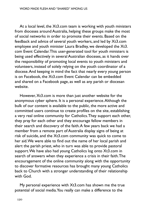At a local level, the Xt3.com team is working with youth ministers from dioceses around Australia, helping these groups make the most of social networks in order to promote their events. Based on the feedback and advice of several youth workers, and led by Xt3.com employee and youth minister Laura Bradley, we developed the Xt3. com Event Calendar. This user-generated tool for youth ministers is being used effectively in several Australian dioceses, as it hands over the responsibility of promoting local events to youth ministers and volunteers, instead of solely relying on the youth coordinator of a diocese. And keeping in mind the fact that nearly every young person is on Facebook, the Xt3.com Event Calendar can be embedded and shared on a Facebook page, as well as any parish or diocesan website.

However, Xt3.com is more than just another website for the anonymous cyber sphere. It is a personal experience. Although the bulk of our content is available to the public, the more active and committed users continue to create profiles on the site, establishing a very real online community for Catholics. They support each other, they pray for each other and they encourage fellow members in their search and discovery of the faith. A few years back we had a member from a remote part of Australia display signs of being at risk of suicide, and the Xt3.com community was quick to come to her aid. We were able to find out the name of her local parish and alert the parish priest, who in turn was able to provide pastoral support. We have also had young Catholics log onto Xt3.com in search of answers when they experience a crisis in their faith. The encouragement of the online community along with the opportunity to discover formative resources has brought many young Catholics back to Church with a stronger understanding of their relationship with God.

My personal experience with Xt3.com has shown me the true potential of social media. You really can make a difference to the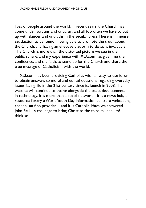lives of people around the world. In recent years, the Church has come under scrutiny and criticism, and all too often we have to put up with slander and untruths in the secular press. There is immense satisfaction to be found in being able to promote the truth about the Church, and having an effective platform to do so is invaluable. The Church is more than the distorted picture we see in the public sphere, and my experience with Xt3.com has given me the confidence, and the faith, to stand up for the Church and share the true message of Catholicism with the world.

Xt3.com has been providing Catholics with an easy-to-use forum to obtain answers to moral and ethical questions regarding everyday issues facing life in the 21st century since its launch in 2008. The website will continue to evolve alongside the latest developments in technology. It is more than a social network – it is a news hub, a resource library, a World Youth Day information centre, a webcasting channel, an App provider ... and it is Catholic. Have we answered John Paul II's challenge to bring Christ to the third millennium? I think so!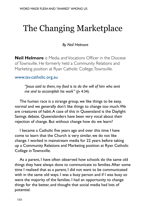## The Changing Marketplace

#### *By Neil Helmore*

**Neil Helmore** is Media and Vocations Officer in the Diocese of Townsville. He formerly held a Community Relations and Marketing position at Ryan Catholic College, Townsville.

#### [www.tsv.catholic.org.au](http://www.tsv.catholic.org.au)

*"Jesus said to them, my food is to do the will of him who sent me and to accomplish his work"* (*Jn* 4:34).

The human race is a strange group, we like things to be easy, normal and we generally don't like things to change too much. We are creatures of habit. A case of this in Queensland is the Daylight Savings debate. Queenslanders have been very vocal about their rejection of change. But without change how do we learn?

I became a Catholic five years ago and over this time I have come to learn that the Church is very similar, we do not like change. I worked in mainstream media for 22 years before taking up a Community Relations and Marketing position at Ryan Catholic College in Townsville.

As a parent, I have often observed how schools do the same old things they have always done to communicate to families. After some time I realised that as a parent, I did not want to be communicated with in the same old ways. I was a busy person and if I was busy so were the majority of the families. I had an opportunity to change things for the better, and thought that social media had lots of potential.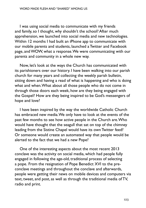I was using social media to communicate with my friends and family, so I thought, why shouldn't the school? After much apprehension, we launched into social media and new technologies. Within 12 months I had built an iPhone app to communicate with our mobile parents and students, launched a Twitter and Facebook page, and WOW, what a response. We were communicating with our parents and community in a whole new way.

Now, let's look at the ways the Church has communicated with its parishioners over our history. I have been walking into our parish church for many years and collecting the weekly parish bulletin, sitting down and having a read of what is happening and who is doing what and when. What about all those people who do not come in through those doors each week, how are they being engaged with the Gospel? How are they being inspired to be God's messengers of hope and love?

I have been inspired by the way the worldwide Catholic Church has embraced new media. We only have to look at the events of the past few months to see how active people in the Church are. Who would have thought that the seagull that sat on top of the chimney leading from the Sistine Chapel would have its own Twitter feed? Or someone would create an automated way that people would be alerted to the fact that we had a new Pope?

One of the interesting aspects about the most recent 2013 conclave was the activity on social media, which had people fully engaged in following the age-old, traditional process of selecting a pope. From the resignation of Pope Benedict XVI to the preconclave meetings and throughout the conclave and afterwards, people were getting their news on mobile devices and computers via text, tweet, and post, as well as through the traditional media of TV, radio and print.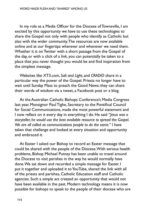In my role as a Media Officer for the Diocese of Townsville, I am excited by this opportunity we have to use these technologies to share the Gospel not only with people who identify as Catholic but also with the wider community. The resources are now available online and at our fingertips wherever and whenever we need them. Whether it is on Twitter with a short passage from the Gospel of the day, or with a click of a link, you can potentially be taken to a place that you never thought you would be and find inspiration from the simplest message.

Websites like XT3.com, *Salt and Light*, and *CRADIO* share in a particular way the power of the Gospel. Priests no longer have to wait until Sunday Mass to preach the Good News; they can share their words of wisdom via a tweet, a Facebook post or a blog.

At the Australian Catholic Bishops Conference's Media Congress last year, Monsignor Paul Tighe, Secretary to the Pontifical Council for Social Communications, made the most powerful statement and I now reflect on it every day in everything I do. He said *"Jesus was a storyteller, he would use the best available resource to spread the Gospel. We are all called as communications people to do the same."* I have taken that challenge and looked at every situation and opportunity and embraced it.

At Easter I asked our Bishop to record an Easter message that could be shared with the people of the Diocese. With serious health problems, Bishop Michael Putney has been unable to travel around the Diocese to visit parishes in the way he would normally have done. We sat down and recorded a simple message for Easter. I put it together and uploaded it to YouTube, shared the link with all of the priests and parishes, Catholic Education staff and Catholic agencies. Such a simple act created an opportunity that would not have been available in the past. Modern technology means it is now possible for bishops to speak to the people of their diocese who are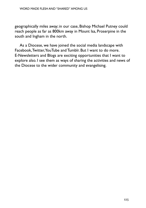geographically miles away; in our case, Bishop Michael Putney could reach people as far as 800km away in Mount Isa, Proserpine in the south and Ingham in the north.

As a Diocese, we have joined the social media landscape with Facebook, Twitter, YouTube and Tumblr. But I want to do more. E-Newsletters and Blogs are exciting opportunities that I want to explore also. I see them as ways of sharing the activities and news of the Diocese to the wider community and evangelising.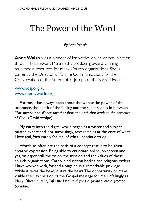### The Power of the Word

#### *By Anne Walsh*

**Anne Walsh** was a pioneer of innovative online communication through Fraynework Multimedia, producing award-winning multimedia resources for many Church organisations. She is currently the Director of Online Communications for the Congregation of the Sisters of St Joseph of the Sacred Heart.

#### [www.sosj.org.au](http://www.sosj.org.au) [www.mercyworld.org](http://www.mercyworld.org)

For me, it has always been about the words: the power of the utterance, the depth of the feeling and the silent spaces in between. *"For speech and silence together form the path that leads to the presence of God"* (David Wolpe).

My entry into the digital world began as a writer and subject matter expert and, not surprisingly, text remains at the core of what I love and, fortunately for me, of what I continue to do.

Words so often are the basis of a concept that is to be given creative expression. Being able to enunciate online, on screen and, yes, on paper still, the vision, the mission and the values of those church organisations, Catholic education bodies and religious orders I have worked with, for and alongside, is a remarkable privilege. While it taxes the head, it stirs the heart. The opportunity to make visible their expression of the Gospel message for me, unfailingly, as Mary Oliver puts it, *"lifts the latch and gives a glimpse into a greater paradise."*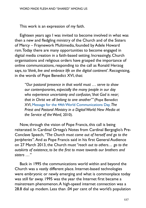This work is an expression of my faith.

Eighteen years ago I was invited to become involved in what was then a new and fledgling ministry of the Church and of the Sisters of Mercy – Fraynework Multimedia, founded by Adele Howard rsm. Today there are many opportunities to become engaged in digital media creation in a faith-based setting. Increasingly, Church organisations and religious orders have grasped the importance of online communications, responding to the call as Ronald Herzog says, to *'think, live and embrace life on the digital continent'*. Recognising, in the words of Pope Benedict XVI, that:

*"Our pastoral presence in that world must … serve to show our contemporaries, especially the many people in our day who experience uncertainty and confusion, 'that God is near; that in Christ we all belong to one another'"* (Pope Benedict XVI, [Message for the 44th World Communications Day,](http://www.vatican.va/holy_father/benedict_xvi/messages/communications/documents/hf_ben-xvi_mes_20100124_44th-world-communications-day_en.html) *The Priest and Pastoral Ministry in a Digital World: New Media at the Service of the Word,* 2010).

Now, through the vision of Pope Francis, this call is being reiterated. In Cardinal Ortega's Notes from Cardinal Bergoglio's Pre-Conclave Speech, *"The Church must come out of herself and go to the peripheries".* And as Pope Francis said in his first General Audience on 27 March 2013, the Church must *"reach out to others… go to the outskirts of existence, to be the first to move towards our brothers and sisters …"*

Back in 1995 the communications world within and beyond the Church was a vastly different place. Internet-based technologies were embryonic or newly emerging and what is commonplace today was still far away. 1995 was the year the Internet first became a mainstream phenomenon. A high-speed internet connection was a 28.8 dial up modem. Less than .04 per cent of the world's population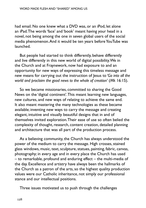had email. No one knew what a DVD was, or an iPod, let alone an iPad. The words 'face' and 'book' meant having your head in a novel, not being among the one in seven global users of the social media phenomenon. And it would be ten years before YouTube was launched.

But people had started to think differently, behave differently and live differently in this new world of digital possibility. We in the Church and at Fraynework, now had exposure to and an opportunity for new ways of expressing this timeless message and new means for carrying out the instruction of Jesus to *'Go into all the world and proclaim the good news to the whole of creation'* (*Mk* 16:15).

So we became missionaries, committed to sharing the Good News on the 'digital continent'. This meant learning new languages, new cultures, and new ways of relating to achieve the same end. It also meant mastering the many technologies as these became available; inventing new ways to carry the message and creating elegant, intuitive and visually beautiful designs that in and of themselves invited exploration. Their ease of use so often belied the complexity of thought, research, content creation, detailed planning and architecture that was all part of the production process.

As a believing community, the Church has always understood the power of the medium to carry the message. High crosses, stained glass windows, music, text, sculpture, statues, painting, fabric, canvas, photography; in every age and in every place the Church has used – to remarkable, profound and enduring effect – the multi-media of the day. Excellence and artistry have always been the hallmarks of the Church as a patron of the arts, so the highest quality production values were our Catholic inheritance, not simply our professional stance and our intellectual positions.

Three issues motivated us to push through the challenges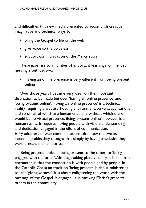and difficulties this new media presented to accomplish creative, imaginative and technical ways to:

- **•** bring the Gospel to life on the web
- **•** give voice to the voiceless
- **•** support communication of the Mercy story

These gave rise to a number of important learnings for me. Let me single out just two.

• Having an online presence is very different from being present online

Over those years I became very clear on the important distinction to be made between 'having an online presence' and 'being present online'. Having an 'online presence' is a technical reality requiring a website, hosting environment, servers, applications and so on, all of which are fundamental and without which there would be no virtual presence. Being 'present online', however, is a human reality. It requires having people with vision, understanding and dedication engaged in the effort of communication. Early adopters of web communications often saw the two as interchangeable; they thought that simply by having a website they were present online. Not so.

'Being present' is about 'being present to the other' or 'being engaged with the other'. Although taking place virtually, it is a human encounter in that the connection is with people and by people. In the Catholic Christian tradition, 'being present' is about 'ministering to' and 'giving witness'. It is about enlightening the world with the message of the Gospel. It engages us in carrying Christ's grace to others in the community.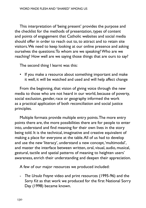This interpretation of 'being present' provides the purpose and the checklist for the methods of presentation, types of content and points of engagement that Catholic websites and social media should offer in order to reach out to, to attract and to retain site visitors. We need to keep looking at our online presence and asking ourselves the questions: To whom are we speaking? Who are we reaching? How well are we saying those things that are ours to say?

The second thing I learnt was this:

• If you make a resource about something important and make it well, it will be watched and used and will help affect change

From the beginning, that vision of giving voice through the new media to those who are not heard in our world, because of poverty, social exclusion, gender, race or geography informed the work as a practical application of both reconciliation and social justice principles.

Multiple formats provide multiple entry points. The more entry points there are, the more possibilities there are for people to enter into, understand and find meaning for their own lives in the story being told. It is the technical, imaginative and creative equivalent of making a place for everyone at the table. All of us had to develop and use the new 'literacy', understand a new concept, 'multimodal', and master the interface between written, oral, visual, audio, musical, gestural, tactile and spatial patterns of meaning to heighten users' awareness, enrich their understanding and deepen their appreciation.

A few of our major resources we produced included:

- *The Ursula Frayne* video and print resources (1995-96) and the *Sorry Kit* as that work we produced for the first National Sorry Day (1998) became known.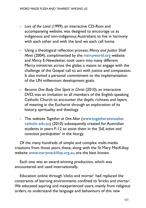- *Lore of the Land* (1999), an interactive CD-Rom and accompanying website, was designed to encourage us as indigenous and non-indigenous Australians to live in harmony with each other and with the land we each call home.
- Using a theological reflection process, *Mercy and Justice Shall Meet* (2004), complimented by the [mercyworld.org](http://mercyworld.org/) website and *Mercy* E-Newsletter, took users into many different Mercy ministries across the globe; a means to engage with the challenge of the Gospel call to act with justice and compassion. It also invited a personal commitment to the implementation of the UN millennium development goals.
- *Become One Body One Spirit in Christ* (2010), an interactive DVD, was an invitation to all members of the English-speaking Catholic Church to encounter the depth, richness and layers of meaning in the Eucharist through an exploration of its history, spirituality and theology.
- The website *Together at One Altar* [\(www.togetheratonealtar.](http://www.togetheratonealtar.catholic.edu.au) [catholic.edu.au\)](http://www.togetheratonealtar.catholic.edu.au) (2010) subsequently created for Australian students in years F-12 to assist them in the *'full, active and conscious participation'* in the liturgy.

Of the many hundreds of simple and complex multi-media creations from those years, these, along with the St Mary MacKillop website [www.marymackillop.org.au,](http://www.marymackillop.org.au) are the best known.

Each one was an award-winning production, which was encountered and used internationally.

Education online through 'clicks and mortar' had replaced the constraints of learning environments confined to 'bricks and mortar'. We educated aspiring and inexperienced users, mainly from religious orders, to understand the language and behaviours of this new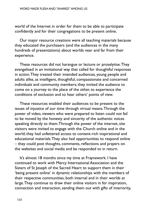world of the Internet in order for them to be able to participate confidently and for their congregations to be present online.

Our major resource creations were all teaching materials because they educated the purchasers (and the audiences in the many hundreds of presentations) about worlds near and far from their experience.

These resources did not harangue or lecture or proselytise. They evangelised in an invitational way that called for thoughtful responses in action. They treated their intended audiences, young people and adults alike, as intelligent, thoughtful, compassionate and concerned individuals and community members; they invited the audience to come on a journey to the place of the other, to experience the conditions of exclusion and to hear others' points of view.

These resources enabled their audiences to be present to the issues of injustice of our time through virtual means. Through the power of video, viewers who were prepared to listen could not fail to be moved by the honesty and sincerity of the authentic voices speaking directly to them. Through the power of the internet, site visitors were invited to engage with the Church online and in the world; they had unfettered access to content-rich inspirational and educational materials. They also had opportunities to respond online – they could post thoughts, comments, reflections and prayers on the websites and social media and be responded to in return.

It's almost 18 months since my time at Fraynework. I have continued to work with Mercy International Association and the Sisters of St Joseph of the Sacred Heart to support them in their 'being present online' in dynamic relationships with the members of their respective communities, both internal and in their worlds at large. They continue to draw their online visitors in for inspiration, connection and interaction, sending them out with gifts of interiority,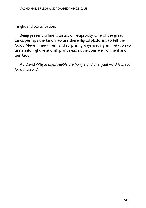insight and participation.

Being present online is an act of reciprocity. One of the great tasks, perhaps the task, is to use these digital platforms to tell the Good News in new, fresh and surprising ways, issuing an invitation to users into right relationship with each other, our environment and our God.

As David Whyte says, *'People are hungry and one good word is bread for a thousand.'*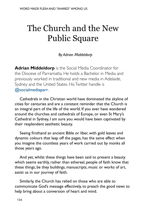### The Church and the New Public Square

#### *By Adrian Middeldorp*

**Adrian Middeldorp** is the Social Media Coordinator for the Diocese of Parramatta. He holds a Bachelor in Media and previously worked in traditional and new media in Adelaide, Sydney and the United States. His Twitter handle is [@socialmediaparr](https://twitter.com/socialmediaparr).

Cathedrals in the Christian world have dominated the skyline of cities for centuries and are a constant reminder that the Church is an integral part of the life of the world. If you ever have wandered around the churches and cathedrals of Europe, or even St Mary's Cathedral in Sydney, I am sure you would have been captivated by their resplendent aesthetic beauty.

Seeing firsthand an ancient Bible or liber, with gold leaves and dynamic colours that leap off the pages, has the same effect when you imagine the countless years of work carried out by monks all those years ago.

And yet, whilst these things have been said to present a beauty which seems earthly, rather than ethereal, people of faith know that these things, be they buildings, manuscripts, music or works of art, assist us in our journey of faith.

Similarly, the Church has relied on those who are able to communicate God's message effectively, to preach the good news to help bring about a conversion of heart and mind.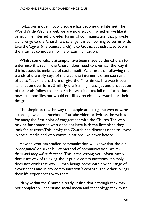Today, our modern public square has become the Internet. The World Wide Web is a web we are now stuck in whether we like it or not. The Internet provides forms of communication that provide a challenge to the Church, a challenge it is still coming to terms with. Like the 'ogive' (the pointed arch) is to Gothic cathedrals, so too is the internet to modern forms of communication.

Whilst some valiant attempts have been made by the Church to enter into this realm, the Church does need to overhaul the way it thinks about its embrace of social media. As a result of following the trends of the early days of the web, the internet is often seen as a place to "stick" a brochure or give the Mass times. The web is seen as function over form. Similarly, the framing messages and production of materials follow this path. Parish websites are full of information, news and homilies but would not likely receive any awards for their design.

The simple fact is, the way the people are using the web now, be it through website, Facebook, YouTube video or Twitter, the web is for many the first point of engagement with the Church. The web may be for someone who does not have faith the first place they look for answers. This is why the Church and dioceses need to invest in social media and web communications like never before.

Anyone who has studied communication will know that the old 'propaganda' or silver bullet method of communication: *'we tell them and they will understand'*. This is the wrong, yet unfortunately dominant way of thinking about public communications. It simply does not work that way. Human beings come with a wide range of experiences and in any communication 'exchange', the 'other' brings their life experiences with them.

Many within the Church already realise that although they may not completely understand social media and technology, they must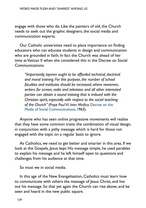engage with those who do. Like the painters of old, the Church needs to seek out the graphic designers, the social media and communication experts.

Our Catholic universities need to place importance on finding educators who can educate students in design and communication who are grounded in faith. In fact the Church was ahead of her time at Vatican II when she considered this in the Decree on Social Communications:

*"Importantly, laymen ought to be afforded technical, doctrinal and moral training. For this purpose, the number of school faculties and institutes should be increased, where newsmen, writers for screen, radio and television and all other interested parties can obtain a sound training that is imbued with the Christian spirit, especially with respect to the social teaching of the Church"* (Pope Paul VI, *Inter Mirifica*, [Decree on the](http://www.vatican.va/archive/hist_councils/ii_vatican_council/documents/vat-ii_decree_19631204_inter-mirifica_en.html)  [Media of Social Communications](http://www.vatican.va/archive/hist_councils/ii_vatican_council/documents/vat-ii_decree_19631204_inter-mirifica_en.html), 1963).

Anyone who has seen online progressive movements will realise that they have some common traits: the combination of visual design, in conjunction with a pithy message which is hard for those not engaged with the topic on a regular basis to ignore.

As Catholics, we need to get better and smarter in this area. If we look at the Gospels, Jesus kept His message simple, he used parables to explain his message and he left himself open to questions and challenges from his audience at that time.

So must we in social media.

In this age of the New Evangelisation, Catholics must learn how to communicate with others the message of Jesus Christ, and live out his message. So that yet again the Church can rise above, and be seen and heard in the new public square.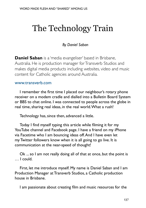### The Technology Train

#### *By Daniel Saban*

**Daniel Saban** is a 'media evangeliser' based in Brisbane, Australia. He is production manager for Transverb Studios and makes digital media products including websites, video and music content for Catholic agencies around Australia.

#### [www.transverb.com](http://www.transverb.com)

I remember the first time I placed our neighbour's rotary phone receiver on a modem cradle and dialled into a Bulletin Board System or BBS to chat online. I was connected to people across the globe in real time, sharing real ideas, in the real world. What a rush!

Technology has, since then, advanced a little.

Today I find myself typing this article while filming it for my YouTube channel and Facebook page. I have a friend on my iPhone via Facetime who I am bouncing ideas off. And I have even let my Twitter followers know when it is all going to go live. It is communication at the near-speed of thought!

Ok ... so I am not really doing all of that at once, but the point is … I could.

First, let me introduce myself. My name is Daniel Saban and I am Production Manager at Transverb Studios, a Catholic production house in Brisbane.

I am passionate about creating film and music resources for the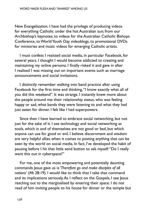New Evangelisation. I have had the privilege of producing videos for everything Catholic under the hot Australian sun; from our Archbishop's keynotes, to videos for the Australian Catholic Bishops Conference, to World Youth Day videoblogs, to promotional DVDs for ministries and music videos for emerging Catholic artists.

I must confess I resisted social media, in particular Facebook, for several years. I thought I would become addicted to creating and maintaining my online persona. I finally risked it and gave in after I realised I was missing out on important events such as marriage announcements and social invitations.

I distinctly remember walking into band practice after using Facebook for the first time and thinking, "I know exactly what all of you did this weekend". It was strange. I instantly knew more about the people around me: their relationship status, who was feeling happy or sad, what bands they were listening to and what they had just eaten for dinner. I felt like I had superpowers.

Since then I have learned to embrace social networking, but not just for the sake of it. I see technology and social networking as tools, which in and of themselves are not good or bad, but which anyone can use for good or evil. I believe discernment and wisdom are very helpful allies when it comes to posting anything that can be seen by the world on social media. In fact, I've developed the habit of pausing before I hit that little send button to ask myself: "Do I really want this out in cyberspace?"

For me, one of the most empowering and potentially daunting commands Jesus gave us is *'Therefore go and make disciples of all nations'* (*Mt* 28:19). I would like to think that I take that command and its implications seriously. As I reflect on the Gospels, I see Jesus reaching out to the marginalised by entering their space. I do not read of him inviting people to his house for dinner or the temple but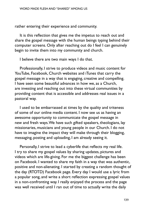rather entering their experience and community.

It is this reflection that gives me the impetus to reach out and share the gospel message with the human beings typing behind their computer screens. Only after reaching out do I feel I can genuinely begin to invite them into my community and church.

I believe there are two main ways I do that.

Professionally, I strive to produce videos and music content for YouTube, Facebook, Church websites and iTunes that carry the gospel message in a way that is engaging, creative and compelling. I have seen some beautiful advances in how we, as a Church, are investing and reaching out into these virtual communities by providing content that is accessible and addresses real issues in a pastoral way.

I used to be embarrassed at times by the quality and triteness of some of our online media content. I now see us as having an awesome opportunity to communicate the gospel message in new and fresh ways. We have such gifted speakers, theologians, lay missionaries, musicians and young people in our Church. I do not have to imagine the impact they will make through their blogging, messaging, posting and uploading, I am already seeing it.

Personally, I strive to lead a cyberlife that reflects my real life. I try to share my gospel values by sharing updates, pictures and videos which are life-giving. For me the biggest challenge has been on Facebook. I wanted to share my faith in a way that was authentic, positive and non-alienating. I started by creating a random thought of the day (RTOTD) Facebook page. Every day I would use a lyric from a popular song, and write a short reflection expressing gospel values in a non-confronting way. I really enjoyed the process and the page was well received until I ran out of time to actually write the daily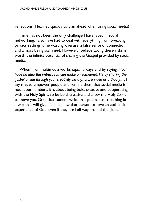reflections! I learned quickly to plan ahead when using social media!

Time has not been the only challenge I have faced in social networking. I also have had to deal with everything from tweaking privacy settings, time wasting, overuse, a false sense of connection and almost being scammed. However, I believe taking these risks is worth the infinite potential of sharing the Gospel provided by social media.

When I run multimedia workshops, I always end by saying: *"You have no idea the impact you can make on someone's life by sharing the gospel online through your creativity via a photo, a video or a thought"*. I say that to empower people and remind them that social media is not about numbers; it is about being bold, creative and cooperating with the Holy Spirit. So be bold, creative and allow the Holy Spirit to move you. Grab that camera, write that poem, post that blog in a way that will give life and allow that person to have an authentic experience of God; even if they are half way around the globe.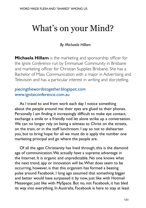### What's on your Mind?

#### *By Michaela Hillam*

**Michaela Hillam** is the marketing and sponsorship officer for the *Ignite Conference* run by Emmanuel Community in Brisbane and marketing officer for Christian Supplies Brisbane. She has a Bachelor of Mass Communication with a major in Advertising and Television and has a particular interest in writing and storytelling.

#### [piecingthewordstogether.blogspot.com](http://piecingthewordstogether.blogspot.com) [www.igniteconference.com.au](http://www.igniteconference.com.au)

As I travel to and from work each day I notice something about the people around me: their eyes are glued to their phones. Personally I am finding it increasingly difficult to make eye contact, exchange a smile or a friendly nod let alone strike up a conversation. We can no longer rely on being a witness to Christ on the streets, on the train, or in the staff lunchroom. I say so not to dishearten you, but to bring hope: for all we must do is apply the number one marketing principal and go where the people are.

Of all the ages Christianity has lived through, this is the diamond age of communication. We actually have a supreme advantage in the Internet. It is organic and unpredictable. No one knows what the next trend, app or innovation will be. What does seem to be occurring, however, is that this organism has formed a beating pulse around Facebook. I long ago assumed that something bigger and better would have surpassed it by now, just like with Hotmail Messenger, just like with MySpace. But no, not Facebook, it has bled its way into everything. In Australia, Facebook is here to stay at least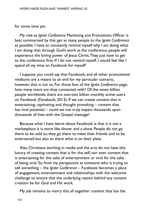for some time yet.

My role as *Ignite Conference* Marketing and Promotions Officer is best summarised by this: get as many people to the *Ignite Conference* as possible. I have to constantly remind myself why I am doing what I am doing: that through God's work at the conference, people will experience the loving power of Jesus Christ. They just have to get to the conference first. If I do not remind myself, I would feel like I spend all my time on Facebook for myself!

I suppose you could say that Facebook, and all other promotional mediums are a means to an end for my particular scenario, however, that is not so. For those fans of the *Ignite Conference* page, how many more are they connected with? Of the seven billion people worldwide, there are one-two billion monthly active users on Facebook (Facebook, 2013). If we can create content that is entertaining, captivating and thought provoking – content that has viral potential – could we not truly impact thousands upon thousands of lives with the Gospel message?

Because what I have learnt about Facebook is that it is not a marketplace; it is more like dinner and a show. People do not go there to be sold to; they go there to meet their friends and to be entertained but also to share what is on their plate.

Alas, Christians working in media and the arts do not have this luxury of creating content that is for the self, nor even content that is entertaining for the sake of entertainment or viral for the sake of being viral. So, from my perspective as someone who is trying to sell something – the *Ignite Conference* – Facebook becomes a place of engagement, entertainment and relationships with the welcome challenge to ensure that the underlying reason behind any content creation be for God and His work.

My job remains to marry this all together: content that has the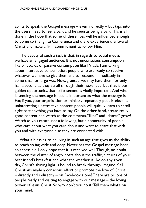ability to speak the Gospel message – even indirectly – but taps into the users' need to feel a part and be seen as being a part. This is all done in the hope that some of these lives will be influenced enough to come to the Ignite Conference and there experience the love of Christ and make a firm commitment to follow Him.

The beauty of such a task is that, in regards to social media, we have an engaged audience. It is not unconscious consumption like billboards or passive consumption like TV ads. I am talking about interactive consumption; people who are ready to receive whatever we have to give them and to respond immediately in some small or large way. Now, granted, we may have them for only half a second as they scroll through their news feed, but that is our golden opportunity, that half a second is vitally important. And who is sending the message is just as important as what the message is. For, if you, your organisation or ministry repeatedly post irrelevant, uninteresting, unattractive content, people will quickly learn to scroll right past anything you have to say. On the other hand, create really good content and watch as the comments, "likes" and "shares" grow! Watch as you create, not a following, but a community of people who care about what you care about and want to share that with you and with everyone else they are connected with.

What a blessing to be living in such an age that gives us the ability to reach so far, wide and deep. Never has the Gospel message been so accessible. I only hope that it is received well. Though, no doubt between the clutter of angry posts about the traffic, pictures of your best friend's breakfast and what the weather is like on any given day, Christ's shining light is bound to break through. Imagine if all Christians made a conscious effort to promote the love of Christ – directly and indirectly – on Facebook alone? There are billions of people ready and waiting to engage with our message – the loving power of Jesus Christ. So why don't you do it? Tell them what's on your mind.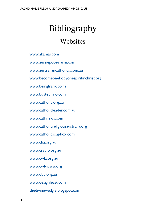# Bibliography

### **Websites**

[www.akamai.com](http://www.akamai.com)

[www.aussiepopealarm.com](http://www.aussiepopealarm.com
)

[www.australiancatholics.com.au](http://www.australiancatholics.com.au
)

[www.becomeonebodyonespiritinchrist.org](http://www.becomeonebodyonespiritinchrist.org)

[www.beingfrank.co.nz](http://www.beingfrank.co.nz)

[www.bustedhalo.com](http://www.www.bustedhalo.com)

[www.catholic.org.au](http://www.catholic.org.au)

[www.catholicleader.com.au](http://www.catholicleader.com.au)

[www.cathnews.com](http://www.cathnews.com)

[www.catholicreligiousaustralia.org](http://www.catholicreligiousaustralia.org)

[www.catholicsoapbox.com](http://www.catholicsoapbox.com)

[www.cha.org.au](http://www.cha.org.au)

[www.cradio.org.au](http://www.cradio.org.au)

[www.cwla.org.au](http://www.cwla.org.au)

[www.cwlvicww.org](http://www.cwlvicww.org)

[www.dbb.org.au](http://www.dbb.org.au)

[www.designfeast.com](http://www.designfeast.com)

[thedivinewedgie.blogspot.com](http://thedivinewedgie.blogspot.com)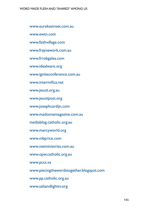[www.eurekastreet.com.au](http://www.eurekastreet.com.au)

[www.ewtn.com](http://www.ewtn.com)

[www.faithvillage.com](http://www.faithvillage.com)

[www.fraynework.com.au](http://www.fraynework.com.au)

[www.frrobgalea.com](http://www.frrobgalea.com)

[www.idealware.org](http://idealware.org/sites/idealware.org/files/2011SocialMediaDecisionGuideFinal.pdf)

[www.igniteconference.com.au](http://www.igniteconference.com.au)

[www.intermifica.net](http://www.intermifica.net)

[www.jesuit.org.au](http://www.jesuit.org.au)

[www.jesuitpost.org](http://www.jesuitpost.org)

[www.josephcardijn.com](http://www.josephcardijn.com)

[www.madonnamagazine.com.au](http://www.madonnamagazine.com.au)

[mediablog.catholic.org.au](http://mediablog.catholic.org.au)

[www.mercyworld.org](http://www.mercyworld.org)

[www.mbprice.com](http://www.mbprice.com)

[www.netministries.com.au](http://www.netministries.com.au)

[www.opw.catholic.org.au](http://www.opw.catholic.org.au)

[www.pccs.va](http://www.pccs.va)

[www.piecingthewordstogether.blogspot.com](http://www.piecingthewordstogether.blogspot.com) 

[www.pp.catholic.org.au](http://www.pp.catholic.org.au)

[www.saltandlighttv.org](http://www.saltandlighttv.org)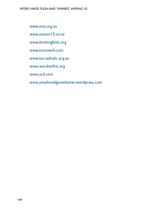[www.sosj.org.au](http://www.sosj.org.au)

[www.station15.co.nz](http://www.station15.co.nz)

[www.thinkingfaith.org](http://www.thinkingfaith.org)

[www.transverb.com](http://www.transverb.com)

[www.tsv.catholic.org.au](http://www.tsv.catholic.org.au)

[www.wordonfire.org](http://www.wordonfire.org)

[www.xt3.com](http://www.xt3.com)

[www.youshouldgnawbetter.wordpress.com](http://www.youshouldgnawbetter.wordpress.com)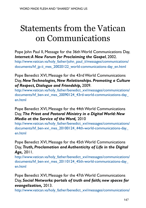# Statements from the Vatican on Communications

Pope John Paul II, Message for the 36th World Communications Day, *Internet: A New Forum for Proclaiming the Gospel*, 2002.

[http://www.vatican.va/holy\\_father/john\\_paul\\_ii/messages/communications/](http://www.vatican.va/holy_father/john_paul_ii/messages/communications/documents/hf_jp-ii_mes_20020122_world-communications-day_en.html) [documents/hf\\_jp-ii\\_mes\\_20020122\\_world-communications-day\\_en.html](http://www.vatican.va/holy_father/john_paul_ii/messages/communications/documents/hf_jp-ii_mes_20020122_world-communications-day_en.html)

## Pope Benedict XVI, Message for the 43rd World Communications Day, *New Technologies, New Relationships. Promoting a Culture of Respect, Dialogue and Friendship,* 2009.

[http://www.vatican.va/holy\\_father/benedict\\_xvi/messages/communications/](http://www.vatican.va/holy_father/benedict_xvi/messages/communications/documents/hf_ben-xvi_mes_20090124_43rd-world-communications-day_en.html) [documents/hf\\_ben-xvi\\_mes\\_20090124\\_43rd-world-communications-day\\_](http://www.vatican.va/holy_father/benedict_xvi/messages/communications/documents/hf_ben-xvi_mes_20090124_43rd-world-communications-day_en.html) [en.html](http://www.vatican.va/holy_father/benedict_xvi/messages/communications/documents/hf_ben-xvi_mes_20090124_43rd-world-communications-day_en.html)

# Pope Benedict XVI, [Message for the 44th World Communications](http://www.vatican.va/holy_father/benedict_xvi/messages/communications/documents/hf_ben-xvi_mes_20100124_44th-world-communications-day_en.html)  [Day](http://www.vatican.va/holy_father/benedict_xvi/messages/communications/documents/hf_ben-xvi_mes_20100124_44th-world-communications-day_en.html), *The Priest and Pastoral Ministry in a Digital World: New Media at the Service of the Word,* 2010

http://www.vatican.va/holy\_father/benedict\_xvi/messages/communications/ documents/hf\_ben-xvi\_mes\_20100124\_44th-world-communications-day\_ en.html

# Pope Benedict XVI, Message for the 45th World Communications Day, *Truth, Proclamation and Authenticity of Life in the Digital Age,* 2011.

[http://www.vatican.va/holy\\_father/benedict\\_xvi/messages/communications/](http://www.vatican.va/holy_father/benedict_xvi/messages/communications/documents/hf_ben-xvi_mes_20110124_45th-world-communications-day_en.html) [documents/hf\\_ben-xvi\\_mes\\_20110124\\_45th-world-communications-day\\_](http://www.vatican.va/holy_father/benedict_xvi/messages/communications/documents/hf_ben-xvi_mes_20110124_45th-world-communications-day_en.html) [en.html](http://www.vatican.va/holy_father/benedict_xvi/messages/communications/documents/hf_ben-xvi_mes_20110124_45th-world-communications-day_en.html)

Pope Benedict XVI, Message for the 47th World Communications Day, *Social Networks: portals of truth and faith; new spaces for evangelization,* 2013.

[http://www.vatican.va/holy\\_father/benedict\\_xvi/messages/communications/](http://www.vatican.va/holy_father/benedict_xvi/messages/communications/documents/hf_ben-xvi_mes_20130124_47th-world-communications-day_en.html)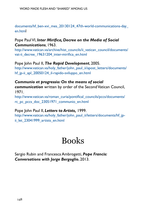[documents/hf\\_ben-xvi\\_mes\\_20130124\\_47th-world-communications-day\\_](http://www.vatican.va/holy_father/benedict_xvi/messages/communications/documents/hf_ben-xvi_mes_20130124_47th-world-communications-day_en.html) [en.html](http://www.vatican.va/holy_father/benedict_xvi/messages/communications/documents/hf_ben-xvi_mes_20130124_47th-world-communications-day_en.html)

### Pope Paul VI, *Inter Mirifica, Decree on the Media of Social Communications*, 1963.

[http://www.vatican.va/archive/hist\\_councils/ii\\_vatican\\_council/documents/](http://www.vatican.va/archive/hist_councils/ii_vatican_council/documents/vat-ii_decree_19631204_inter-mirifica_en.html) vat-ii decree 19631204 inter-mirifica en.html

Pope John Paul II, *The Rapid Development*, 2005. [http://www.vatican.va/holy\\_father/john\\_paul\\_ii/apost\\_letters/documents/](http://www.vatican.va/holy_father/john_paul_ii/apost_letters/documents/hf_jp-ii_apl_20050124_il-rapido-sviluppo_en.html) [hf\\_jp-ii\\_apl\\_20050124\\_il-rapido-sviluppo\\_en.html](http://www.vatican.va/holy_father/john_paul_ii/apost_letters/documents/hf_jp-ii_apl_20050124_il-rapido-sviluppo_en.html)

#### *Communio et progressio: On the means of social*

*communication* written by order of the Second Vatican Council, 1971.

[http://www.vatican.va/roman\\_curia/pontifical\\_councils/pccs/documents/](http://www.vatican.va/roman_curia/pontifical_councils/pccs/documents/rc_pc_pccs_doc_23051971_communio_en.html) [rc\\_pc\\_pccs\\_doc\\_23051971\\_communio\\_en.html](http://www.vatican.va/roman_curia/pontifical_councils/pccs/documents/rc_pc_pccs_doc_23051971_communio_en.html)

#### Pope John Paul II, *Letters to Artists,* 1999.

http://www.vatican.va/holy\_father/john\_paul\_ii/letters/documents/hf\_jpii let 23041999 artists en.html

# Books

Sergio Rubin and Francesca Ambrogetti, *Pope Francis: Conversations with Jorge Bergoglio*, 2013.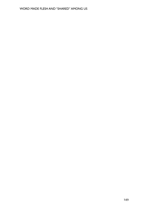#### WORD MADE FLESH AND "SHARED" AMONG US